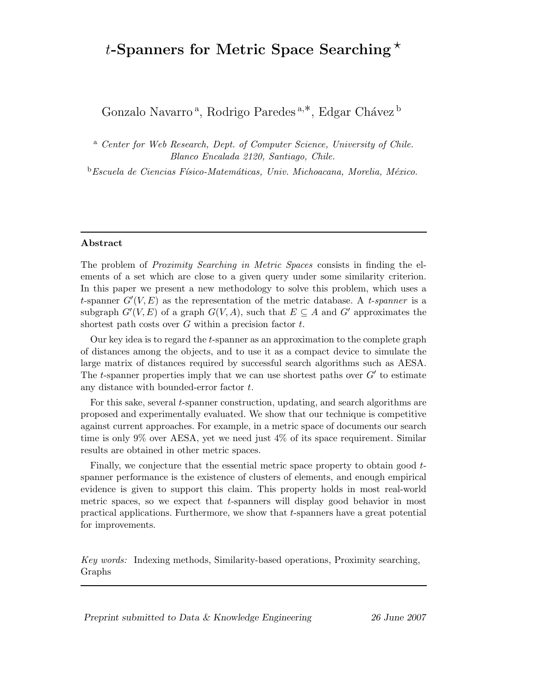# t-Spanners for Metric Space Searching<sup>\*</sup>

Gonzalo Navarro<sup>a</sup>, Rodrigo Paredes<sup>a,\*</sup>, Edgar Chávez b

<sup>a</sup> Center for Web Research, Dept. of Computer Science, University of Chile. Blanco Encalada 2120, Santiago, Chile.

 $b$ Escuela de Ciencias Físico-Matemáticas, Univ. Michoacana, Morelia, México.

#### Abstract

The problem of Proximity Searching in Metric Spaces consists in finding the elements of a set which are close to a given query under some similarity criterion. In this paper we present a new methodology to solve this problem, which uses a t-spanner  $G'(V, E)$  as the representation of the metric database. A t-spanner is a subgraph  $G'(V, E)$  of a graph  $G(V, A)$ , such that  $E \subseteq A$  and  $G'$  approximates the shortest path costs over  $G$  within a precision factor  $t$ .

Our key idea is to regard the t-spanner as an approximation to the complete graph of distances among the objects, and to use it as a compact device to simulate the large matrix of distances required by successful search algorithms such as AESA. The t-spanner properties imply that we can use shortest paths over  $G'$  to estimate any distance with bounded-error factor t.

For this sake, several t-spanner construction, updating, and search algorithms are proposed and experimentally evaluated. We show that our technique is competitive against current approaches. For example, in a metric space of documents our search time is only 9% over AESA, yet we need just 4% of its space requirement. Similar results are obtained in other metric spaces.

Finally, we conjecture that the essential metric space property to obtain good tspanner performance is the existence of clusters of elements, and enough empirical evidence is given to support this claim. This property holds in most real-world metric spaces, so we expect that t-spanners will display good behavior in most practical applications. Furthermore, we show that t-spanners have a great potential for improvements.

Key words: Indexing methods, Similarity-based operations, Proximity searching, Graphs

Preprint submitted to Data & Knowledge Engineering 26 June 2007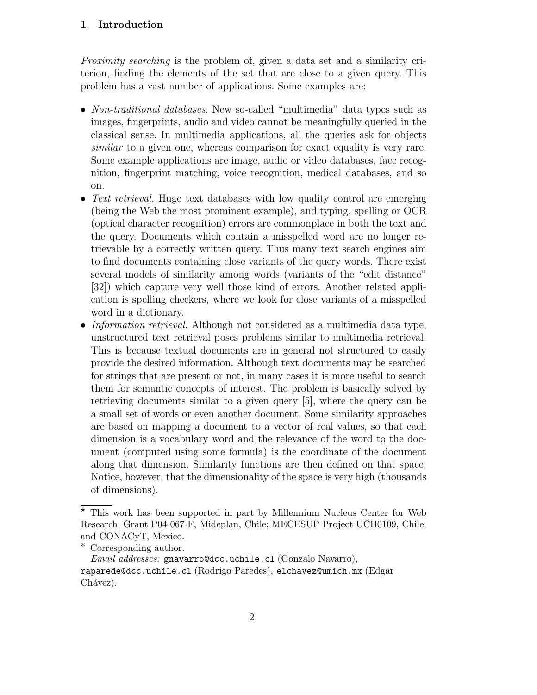## 1 Introduction

Proximity searching is the problem of, given a data set and a similarity criterion, finding the elements of the set that are close to a given query. This problem has a vast number of applications. Some examples are:

- Non-traditional databases. New so-called "multimedia" data types such as images, fingerprints, audio and video cannot be meaningfully queried in the classical sense. In multimedia applications, all the queries ask for objects similar to a given one, whereas comparison for exact equality is very rare. Some example applications are image, audio or video databases, face recognition, fingerprint matching, voice recognition, medical databases, and so on.
- Text retrieval. Huge text databases with low quality control are emerging (being the Web the most prominent example), and typing, spelling or OCR (optical character recognition) errors are commonplace in both the text and the query. Documents which contain a misspelled word are no longer retrievable by a correctly written query. Thus many text search engines aim to find documents containing close variants of the query words. There exist several models of similarity among words (variants of the "edit distance" [32]) which capture very well those kind of errors. Another related application is spelling checkers, where we look for close variants of a misspelled word in a dictionary.
- Information retrieval. Although not considered as a multimedia data type, unstructured text retrieval poses problems similar to multimedia retrieval. This is because textual documents are in general not structured to easily provide the desired information. Although text documents may be searched for strings that are present or not, in many cases it is more useful to search them for semantic concepts of interest. The problem is basically solved by retrieving documents similar to a given query [5], where the query can be a small set of words or even another document. Some similarity approaches are based on mapping a document to a vector of real values, so that each dimension is a vocabulary word and the relevance of the word to the document (computed using some formula) is the coordinate of the document along that dimension. Similarity functions are then defined on that space. Notice, however, that the dimensionality of the space is very high (thousands of dimensions).

<sup>⋆</sup> This work has been supported in part by Millennium Nucleus Center for Web Research, Grant P04-067-F, Mideplan, Chile; MECESUP Project UCH0109, Chile; and CONACyT, Mexico.

<sup>∗</sup> Corresponding author.

Email addresses: gnavarro@dcc.uchile.cl (Gonzalo Navarro), raparede@dcc.uchile.cl (Rodrigo Paredes), elchavez@umich.mx (Edgar Chávez).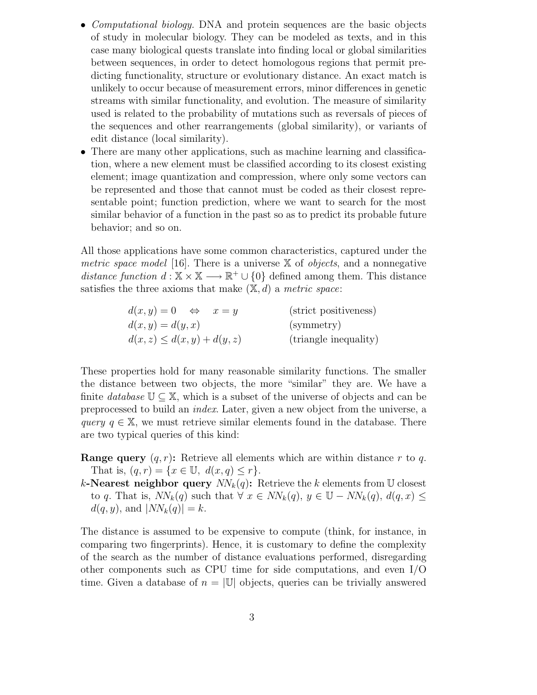- *Computational biology*. DNA and protein sequences are the basic objects of study in molecular biology. They can be modeled as texts, and in this case many biological quests translate into finding local or global similarities between sequences, in order to detect homologous regions that permit predicting functionality, structure or evolutionary distance. An exact match is unlikely to occur because of measurement errors, minor differences in genetic streams with similar functionality, and evolution. The measure of similarity used is related to the probability of mutations such as reversals of pieces of the sequences and other rearrangements (global similarity), or variants of edit distance (local similarity).
- There are many other applications, such as machine learning and classification, where a new element must be classified according to its closest existing element; image quantization and compression, where only some vectors can be represented and those that cannot must be coded as their closest representable point; function prediction, where we want to search for the most similar behavior of a function in the past so as to predict its probable future behavior; and so on.

All those applications have some common characteristics, captured under the *metric space model* [16]. There is a universe  $X$  of *objects*, and a nonnegative distance function  $d : \mathbb{X} \times \mathbb{X} \longrightarrow \mathbb{R}^+ \cup \{0\}$  defined among them. This distance satisfies the three axioms that make  $(\mathbb{X}, d)$  a metric space:

| $d(x, y) = 0 \Leftrightarrow x = y$ | (strict positiveness) |
|-------------------------------------|-----------------------|
| $d(x, y) = d(y, x)$                 | (symmetry)            |
| $d(x, z) \leq d(x, y) + d(y, z)$    | (triangle inequality) |

These properties hold for many reasonable similarity functions. The smaller the distance between two objects, the more "similar" they are. We have a finite database  $\mathbb{U} \subset \mathbb{X}$ , which is a subset of the universe of objects and can be preprocessed to build an index. Later, given a new object from the universe, a query  $q \in \mathbb{X}$ , we must retrieve similar elements found in the database. There are two typical queries of this kind:

- **Range query**  $(q, r)$ : Retrieve all elements which are within distance r to q. That is,  $(q, r) = \{x \in \mathbb{U}, d(x, q) \leq r\}.$
- k-Nearest neighbor query  $NN_k(q)$ : Retrieve the k elements from U closest to q. That is,  $NN_k(q)$  such that  $\forall x \in NN_k(q)$ ,  $y \in \mathbb{U} - NN_k(q)$ ,  $d(q, x) \leq$  $d(q, y)$ , and  $|NN_k(q)| = k$ .

The distance is assumed to be expensive to compute (think, for instance, in comparing two fingerprints). Hence, it is customary to define the complexity of the search as the number of distance evaluations performed, disregarding other components such as CPU time for side computations, and even I/O time. Given a database of  $n = |U|$  objects, queries can be trivially answered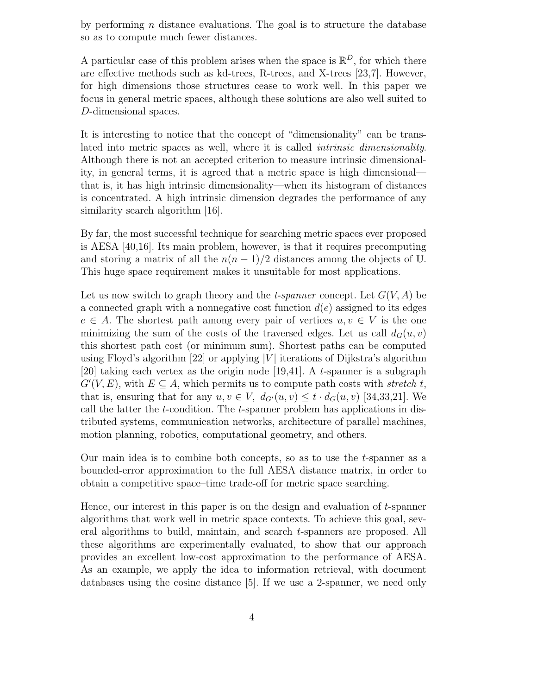by performing  $n$  distance evaluations. The goal is to structure the database so as to compute much fewer distances.

A particular case of this problem arises when the space is  $\mathbb{R}^D$ , for which there are effective methods such as kd-trees, R-trees, and X-trees [23,7]. However, for high dimensions those structures cease to work well. In this paper we focus in general metric spaces, although these solutions are also well suited to D-dimensional spaces.

It is interesting to notice that the concept of "dimensionality" can be translated into metric spaces as well, where it is called intrinsic dimensionality. Although there is not an accepted criterion to measure intrinsic dimensionality, in general terms, it is agreed that a metric space is high dimensional that is, it has high intrinsic dimensionality—when its histogram of distances is concentrated. A high intrinsic dimension degrades the performance of any similarity search algorithm  $|16|$ .

By far, the most successful technique for searching metric spaces ever proposed is AESA [40,16]. Its main problem, however, is that it requires precomputing and storing a matrix of all the  $n(n-1)/2$  distances among the objects of U. This huge space requirement makes it unsuitable for most applications.

Let us now switch to graph theory and the *t*-spanner concept. Let  $G(V, A)$  be a connected graph with a nonnegative cost function  $d(e)$  assigned to its edges  $e \in A$ . The shortest path among every pair of vertices  $u, v \in V$  is the one minimizing the sum of the costs of the traversed edges. Let us call  $d_G(u, v)$ this shortest path cost (or minimum sum). Shortest paths can be computed using Floyd's algorithm [22] or applying  $|V|$  iterations of Dijkstra's algorithm [20] taking each vertex as the origin node [19,41]. A t-spanner is a subgraph  $G'(V, E)$ , with  $E \subseteq A$ , which permits us to compute path costs with stretch t, that is, ensuring that for any  $u, v \in V$ ,  $d_{G'}(u, v) \le t \cdot d_G(u, v)$  [34,33,21]. We call the latter the t-condition. The t-spanner problem has applications in distributed systems, communication networks, architecture of parallel machines, motion planning, robotics, computational geometry, and others.

Our main idea is to combine both concepts, so as to use the t-spanner as a bounded-error approximation to the full AESA distance matrix, in order to obtain a competitive space–time trade-off for metric space searching.

Hence, our interest in this paper is on the design and evaluation of  $t$ -spanner algorithms that work well in metric space contexts. To achieve this goal, several algorithms to build, maintain, and search t-spanners are proposed. All these algorithms are experimentally evaluated, to show that our approach provides an excellent low-cost approximation to the performance of AESA. As an example, we apply the idea to information retrieval, with document databases using the cosine distance [5]. If we use a 2-spanner, we need only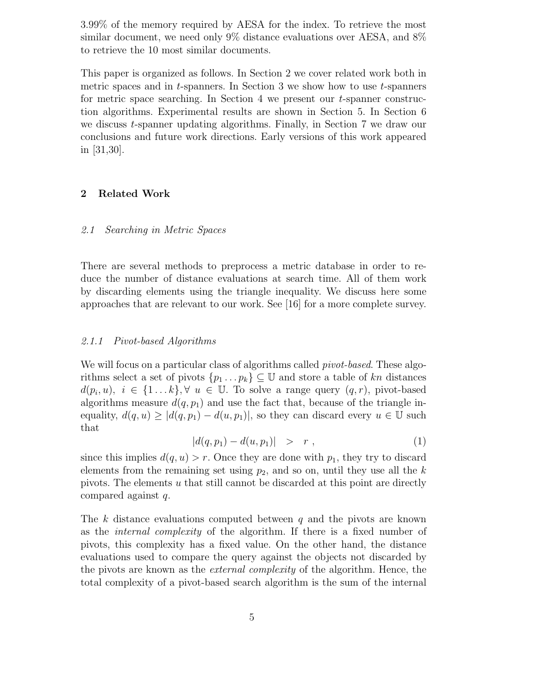3.99% of the memory required by AESA for the index. To retrieve the most similar document, we need only 9% distance evaluations over AESA, and 8% to retrieve the 10 most similar documents.

This paper is organized as follows. In Section 2 we cover related work both in metric spaces and in  $t$ -spanners. In Section 3 we show how to use  $t$ -spanners for metric space searching. In Section 4 we present our t-spanner construction algorithms. Experimental results are shown in Section 5. In Section 6 we discuss t-spanner updating algorithms. Finally, in Section 7 we draw our conclusions and future work directions. Early versions of this work appeared in [31,30].

## 2 Related Work

#### 2.1 Searching in Metric Spaces

There are several methods to preprocess a metric database in order to reduce the number of distance evaluations at search time. All of them work by discarding elements using the triangle inequality. We discuss here some approaches that are relevant to our work. See [16] for a more complete survey.

#### 2.1.1 Pivot-based Algorithms

We will focus on a particular class of algorithms called *pivot-based*. These algorithms select a set of pivots  $\{p_1 \dots p_k\} \subseteq \mathbb{U}$  and store a table of kn distances  $d(p_i, u), i \in \{1...k\}, \forall u \in \mathbb{U}$ . To solve a range query  $(q, r)$ , pivot-based algorithms measure  $d(q, p_1)$  and use the fact that, because of the triangle inequality,  $d(q, u) \geq |d(q, p_1) - d(u, p_1)|$ , so they can discard every  $u \in \mathbb{U}$  such that

$$
|d(q, p_1) - d(u, p_1)| > r , \qquad (1)
$$

since this implies  $d(q, u) > r$ . Once they are done with  $p_1$ , they try to discard elements from the remaining set using  $p_2$ , and so on, until they use all the k pivots. The elements u that still cannot be discarded at this point are directly compared against q.

The k distance evaluations computed between  $q$  and the pivots are known as the internal complexity of the algorithm. If there is a fixed number of pivots, this complexity has a fixed value. On the other hand, the distance evaluations used to compare the query against the objects not discarded by the pivots are known as the external complexity of the algorithm. Hence, the total complexity of a pivot-based search algorithm is the sum of the internal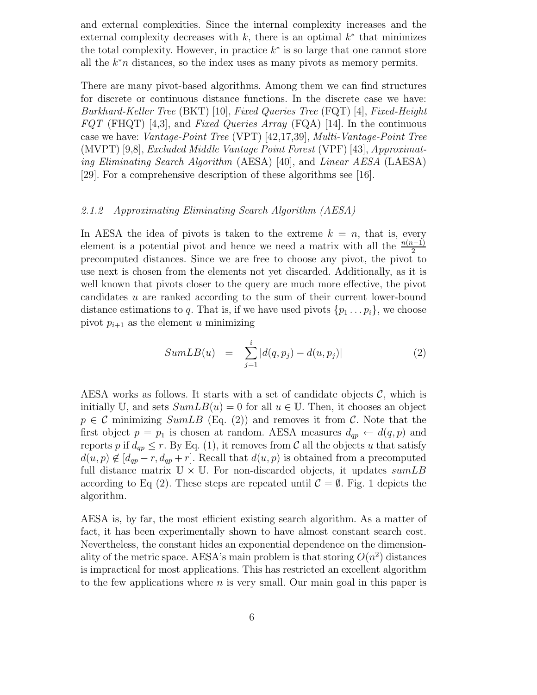and external complexities. Since the internal complexity increases and the external complexity decreases with  $k$ , there is an optimal  $k^*$  that minimizes the total complexity. However, in practice  $k^*$  is so large that one cannot store all the  $k^*n$  distances, so the index uses as many pivots as memory permits.

There are many pivot-based algorithms. Among them we can find structures for discrete or continuous distance functions. In the discrete case we have: Burkhard-Keller Tree (BKT) [10], Fixed Queries Tree (FQT) [4], Fixed-Height  $FQT$  (FHQT) [4,3], and *Fixed Queries Array* (FQA) [14]. In the continuous case we have: Vantage-Point Tree (VPT) [42,17,39], Multi-Vantage-Point Tree (MVPT) [9,8], Excluded Middle Vantage Point Forest (VPF) [43], Approximating Eliminating Search Algorithm (AESA) [40], and Linear AESA (LAESA) [29]. For a comprehensive description of these algorithms see [16].

#### 2.1.2 Approximating Eliminating Search Algorithm (AESA)

In AESA the idea of pivots is taken to the extreme  $k = n$ , that is, every element is a potential pivot and hence we need a matrix with all the  $\frac{n(n-1)}{2}$ precomputed distances. Since we are free to choose any pivot, the pivot to use next is chosen from the elements not yet discarded. Additionally, as it is well known that pivots closer to the query are much more effective, the pivot candidates u are ranked according to the sum of their current lower-bound distance estimations to q. That is, if we have used pivots  $\{p_1 \ldots p_i\}$ , we choose pivot  $p_{i+1}$  as the element u minimizing

$$
SumLB(u) = \sum_{j=1}^{i} |d(q, p_j) - d(u, p_j)| \qquad (2)
$$

AESA works as follows. It starts with a set of candidate objects  $\mathcal{C}$ , which is initially U, and sets  $SumLB(u) = 0$  for all  $u \in U$ . Then, it chooses an object  $p \in \mathcal{C}$  minimizing  $SumLB$  (Eq. (2)) and removes it from  $\mathcal{C}$ . Note that the first object  $p = p_1$  is chosen at random. AESA measures  $d_{qp} \leftarrow d(q, p)$  and reports p if  $d_{qp} \leq r$ . By Eq. (1), it removes from C all the objects u that satisfy  $d(u, p) \notin [d_{qp} - r, d_{qp} + r]$ . Recall that  $d(u, p)$  is obtained from a precomputed full distance matrix  $\mathbb{U} \times \mathbb{U}$ . For non-discarded objects, it updates sum LB according to Eq (2). These steps are repeated until  $\mathcal{C} = \emptyset$ . Fig. 1 depicts the algorithm.

AESA is, by far, the most efficient existing search algorithm. As a matter of fact, it has been experimentally shown to have almost constant search cost. Nevertheless, the constant hides an exponential dependence on the dimensionality of the metric space. AESA's main problem is that storing  $O(n^2)$  distances is impractical for most applications. This has restricted an excellent algorithm to the few applications where  $n$  is very small. Our main goal in this paper is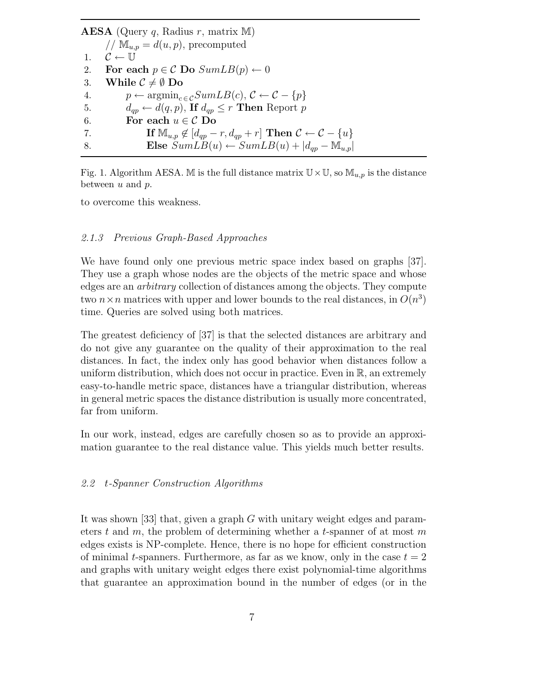**AESA** (Query q, Radius r, matrix  $M$ ) //  $\mathbb{M}_{u,p} = d(u,p)$ , precomputed 1.  $C \leftarrow \mathbb{U}$ <br>2. For ea 2. For each  $p \in C$  Do  $SumLB(p) \leftarrow 0$ <br>3. While  $C \neq \emptyset$  Do 3. While  $C \neq \emptyset$  Do<br>4.  $p \leftarrow \operatorname{argmin}_{c}$ 4.  $p \leftarrow \operatorname{argmin}_{c \in \mathcal{C}} SumLB(c), C \leftarrow C - \{p\}$ <br>5.  $d_{op} \leftarrow d(q, p), \text{ If } d_{op} \leq r \text{ Then Report } p$ 5.  $d_{qp} \leftarrow d(q, p)$ , If  $d_{qp} \leq r$  Then Report p<br>6. For each  $u \in \mathcal{C}$  Do 6. For each  $u \in \mathcal{C}$  Do<br>7. If  $\mathbb{M}_{u,n} \notin [d_{\alpha n}]$ 7. **If**  $\mathbb{M}_{u,p} \notin [d_{qp} - r, d_{qp} + r]$  **Then**  $C \leftarrow C - \{u\}$ <br>8. **Else**  $SumLB(u) \leftarrow SumLB(u) + |d_{qp} - \mathbb{M}_{u,p}|$ Else  $SumLB(u) \leftarrow SumLB(u) + |d_{qp} - M_{u,p}|$ 

Fig. 1. Algorithm AESA. M is the full distance matrix  $\mathbb{U}\times\mathbb{U}$ , so  $\mathbb{M}_{u,p}$  is the distance between  $u$  and  $p$ .

to overcome this weakness.

## 2.1.3 Previous Graph-Based Approaches

We have found only one previous metric space index based on graphs [37]. They use a graph whose nodes are the objects of the metric space and whose edges are an arbitrary collection of distances among the objects. They compute two  $n \times n$  matrices with upper and lower bounds to the real distances, in  $O(n^3)$ time. Queries are solved using both matrices.

The greatest deficiency of [37] is that the selected distances are arbitrary and do not give any guarantee on the quality of their approximation to the real distances. In fact, the index only has good behavior when distances follow a uniform distribution, which does not occur in practice. Even in  $\mathbb{R}$ , an extremely easy-to-handle metric space, distances have a triangular distribution, whereas in general metric spaces the distance distribution is usually more concentrated, far from uniform.

In our work, instead, edges are carefully chosen so as to provide an approximation guarantee to the real distance value. This yields much better results.

#### 2.2 t-Spanner Construction Algorithms

It was shown [33] that, given a graph G with unitary weight edges and parameters t and m, the problem of determining whether a t-spanner of at most m edges exists is NP-complete. Hence, there is no hope for efficient construction of minimal t-spanners. Furthermore, as far as we know, only in the case  $t = 2$ and graphs with unitary weight edges there exist polynomial-time algorithms that guarantee an approximation bound in the number of edges (or in the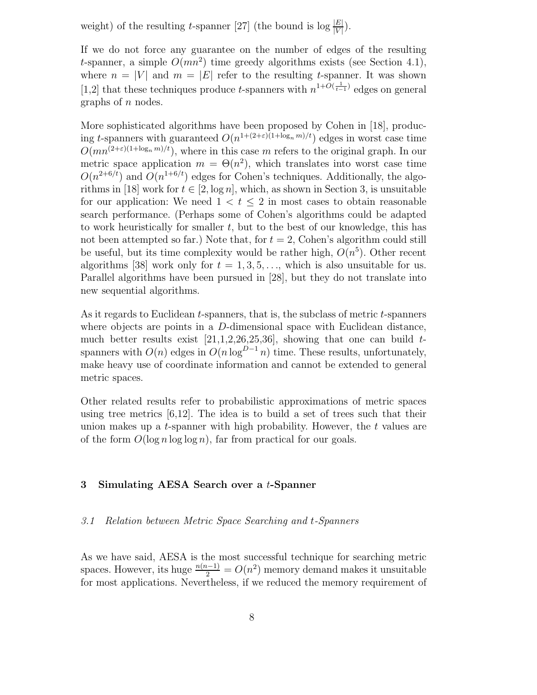weight) of the resulting *t*-spanner [27] (the bound is  $\log \frac{|E|}{|V|}$ ).

If we do not force any guarantee on the number of edges of the resulting t-spanner, a simple  $O(mn^2)$  time greedy algorithms exists (see Section 4.1), where  $n = |V|$  and  $m = |E|$  refer to the resulting t-spanner. It was shown [1,2] that these techniques produce *t*-spanners with  $n^{1+O(\frac{1}{t-1})}$  edges on general graphs of n nodes.

More sophisticated algorithms have been proposed by Cohen in [18], producing t-spanners with guaranteed  $O(n^{1+(2+\epsilon)(1+\log_n m)/t})$  edges in worst case time  $\widetilde{O}(mn^{(2+\epsilon)(1+\log_n m)/t})$ , where in this case m refers to the original graph. In our metric space application  $m = \Theta(n^2)$ , which translates into worst case time  $O(n^{2+6/t})$  and  $O(n^{1+6/t})$  edges for Cohen's techniques. Additionally, the algorithms in [18] work for  $t \in [2, \log n]$ , which, as shown in Section 3, is unsuitable for our application: We need  $1 < t \leq 2$  in most cases to obtain reasonable search performance. (Perhaps some of Cohen's algorithms could be adapted to work heuristically for smaller  $t$ , but to the best of our knowledge, this has not been attempted so far.) Note that, for  $t = 2$ , Cohen's algorithm could still be useful, but its time complexity would be rather high,  $O(n^5)$ . Other recent algorithms [38] work only for  $t = 1, 3, 5, \ldots$ , which is also unsuitable for us. Parallel algorithms have been pursued in [28], but they do not translate into new sequential algorithms.

As it regards to Euclidean t-spanners, that is, the subclass of metric t-spanners where objects are points in a D-dimensional space with Euclidean distance, much better results exist  $[21,1,2,26,25,36]$ , showing that one can build tspanners with  $O(n)$  edges in  $O(n \log^{D-1} n)$  time. These results, unfortunately, make heavy use of coordinate information and cannot be extended to general metric spaces.

Other related results refer to probabilistic approximations of metric spaces using tree metrics  $[6,12]$ . The idea is to build a set of trees such that their union makes up a  $t$ -spanner with high probability. However, the  $t$  values are of the form  $O(\log n \log \log n)$ , far from practical for our goals.

## 3 Simulating AESA Search over a t-Spanner

## 3.1 Relation between Metric Space Searching and t-Spanners

As we have said, AESA is the most successful technique for searching metric spaces. However, its huge  $\frac{n(n-1)}{2} = O(n^2)$  memory demand makes it unsuitable for most applications. Nevertheless, if we reduced the memory requirement of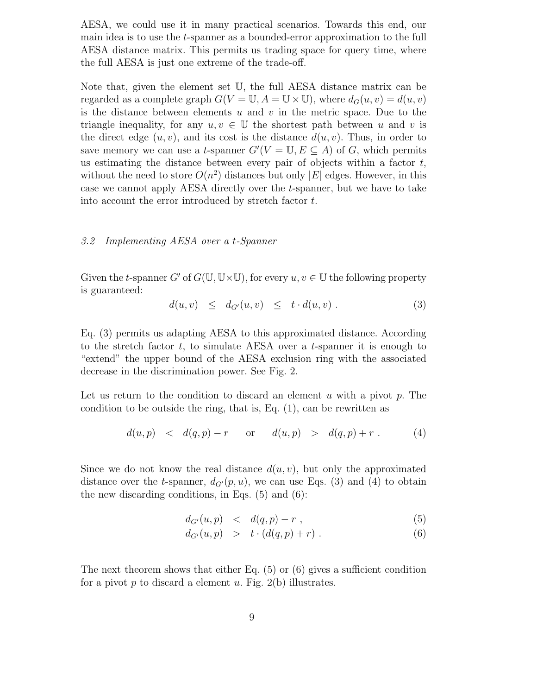AESA, we could use it in many practical scenarios. Towards this end, our main idea is to use the t-spanner as a bounded-error approximation to the full AESA distance matrix. This permits us trading space for query time, where the full AESA is just one extreme of the trade-off.

Note that, given the element set U, the full AESA distance matrix can be regarded as a complete graph  $G(V = \mathbb{U}, A = \mathbb{U} \times \mathbb{U})$ , where  $d_G(u, v) = d(u, v)$ is the distance between elements  $u$  and  $v$  in the metric space. Due to the triangle inequality, for any  $u, v \in \mathbb{U}$  the shortest path between u and v is the direct edge  $(u, v)$ , and its cost is the distance  $d(u, v)$ . Thus, in order to save memory we can use a t-spanner  $G'(V = \mathbb{U}, E \subseteq A)$  of G, which permits us estimating the distance between every pair of objects within a factor  $t$ , without the need to store  $O(n^2)$  distances but only  $|E|$  edges. However, in this case we cannot apply AESA directly over the t-spanner, but we have to take into account the error introduced by stretch factor t.

## 3.2 Implementing AESA over a t-Spanner

Given the t-spanner G' of  $G(\mathbb{U}, \mathbb{U}\times \mathbb{U})$ , for every  $u, v \in \mathbb{U}$  the following property is guaranteed:

$$
d(u, v) \leq d_{G'}(u, v) \leq t \cdot d(u, v) . \tag{3}
$$

Eq. (3) permits us adapting AESA to this approximated distance. According to the stretch factor  $t$ , to simulate AESA over a  $t$ -spanner it is enough to "extend" the upper bound of the AESA exclusion ring with the associated decrease in the discrimination power. See Fig. 2.

Let us return to the condition to discard an element  $u$  with a pivot  $p$ . The condition to be outside the ring, that is, Eq. (1), can be rewritten as

$$
d(u, p) < d(q, p) - r \quad \text{or} \quad d(u, p) > d(q, p) + r. \tag{4}
$$

Since we do not know the real distance  $d(u, v)$ , but only the approximated distance over the t-spanner,  $d_{G'}(p, u)$ , we can use Eqs. (3) and (4) to obtain the new discarding conditions, in Eqs.  $(5)$  and  $(6)$ :

$$
d_{G'}(u,p) \quad < \quad d(q,p) - r \tag{5}
$$

$$
d_{G'}(u,p) > t \cdot (d(q,p)+r) . \tag{6}
$$

The next theorem shows that either Eq. (5) or (6) gives a sufficient condition for a pivot  $p$  to discard a element  $u$ . Fig. 2(b) illustrates.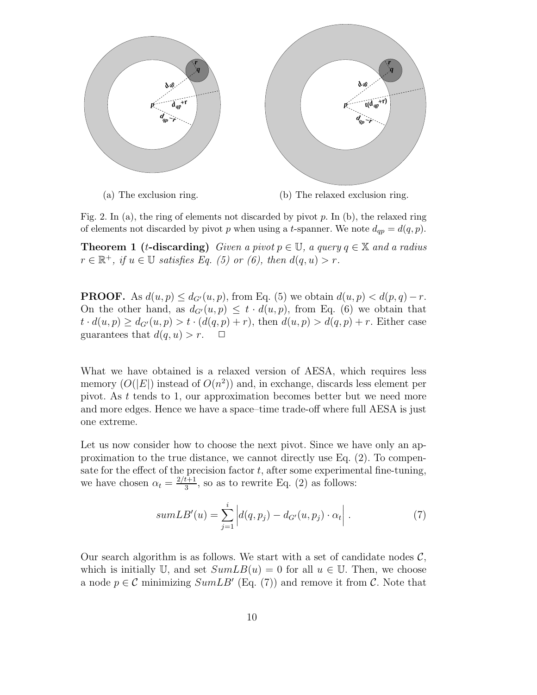

Fig. 2. In (a), the ring of elements not discarded by pivot  $p$ . In (b), the relaxed ring of elements not discarded by pivot p when using a t-spanner. We note  $d_{qp} = d(q, p)$ .

**Theorem 1 (t-discarding)** Given a pivot  $p \in \mathbb{U}$ , a query  $q \in \mathbb{X}$  and a radius  $r \in \mathbb{R}^+$ , if  $u \in \mathbb{U}$  satisfies Eq. (5) or (6), then  $d(q, u) > r$ .

**PROOF.** As  $d(u, p) \leq d_{G'}(u, p)$ , from Eq. (5) we obtain  $d(u, p) < d(p, q) - r$ . On the other hand, as  $d_{G'}(u, p) \leq t \cdot d(u, p)$ , from Eq. (6) we obtain that  $t \cdot d(u, p) \geq d_{G'}(u, p) > t \cdot (d(q, p) + r)$ , then  $d(u, p) > d(q, p) + r$ . Either case guarantees that  $d(q, u) > r$ .  $\Box$ 

What we have obtained is a relaxed version of AESA, which requires less memory  $(O(|E|)$  instead of  $O(n^2)$ ) and, in exchange, discards less element per pivot. As  $t$  tends to 1, our approximation becomes better but we need more and more edges. Hence we have a space–time trade-off where full AESA is just one extreme.

Let us now consider how to choose the next pivot. Since we have only an approximation to the true distance, we cannot directly use Eq. (2). To compensate for the effect of the precision factor  $t$ , after some experimental fine-tuning, we have chosen  $\alpha_t = \frac{2/t+1}{3}$  $\frac{t+1}{3}$ , so as to rewrite Eq. (2) as follows:

$$
sumLB'(u) = \sum_{j=1}^{i} |d(q, p_j) - d_{G'}(u, p_j) \cdot \alpha_t|.
$$
 (7)

Our search algorithm is as follows. We start with a set of candidate nodes  $\mathcal{C}$ , which is initially U, and set  $SumLB(u) = 0$  for all  $u \in U$ . Then, we choose a node  $p \in \mathcal{C}$  minimizing  $SumLB'$  (Eq. (7)) and remove it from  $\mathcal{C}$ . Note that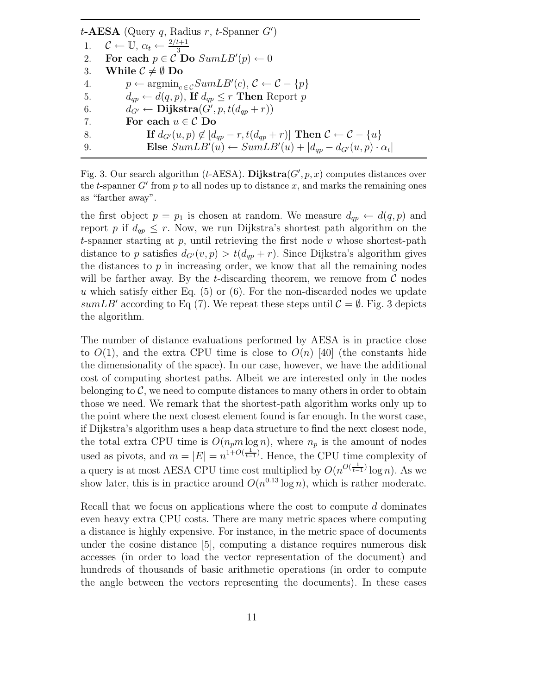$t$ -AESA (Query q, Radius r, t-Spanner  $G'$ ) 1.  $\mathcal{C} \leftarrow \mathbb{U}, \alpha_t \leftarrow \frac{2/t+1}{3}$ 2. For each  $p \in \mathcal{C}$  Do  $SumLB'(p) \leftarrow 0$ 3. While  $C \neq \emptyset$  Do<br>4.  $p \leftarrow \operatorname{argmin}_{p}$ 4.  $p \leftarrow \operatorname{argmin}_{c \in \mathcal{C}} SumLB'(c), \mathcal{C} \leftarrow \mathcal{C} - \{p\}$ 5.  $d_{qp} \leftarrow d(q, p)$ , If  $d_{qp} \leq r$  Then Report p<br>6.  $d_{G'} \leftarrow \textbf{Dijkstra}(G', p, t(d_{qp} + r))$ 6.  $d_{G'} \leftarrow \textbf{Dijkstra}(G', p, t(d_{qp} + r))$ 7. For each  $u \in \mathcal{C}$  Do<br>8. If  $d_{G'}(u, p) \notin [d]$ 8. **If**  $d_{G'}(u, p) \notin [d_{qp} - r, t(d_{qp} + r)]$  **Then**  $C \leftarrow C - \{u\}$ <br>
9. **Else**  $SumLB'(u) \leftarrow SumLB'(u) + |d_{qp} - d_{G'}(u, p) \cdot d_{q'}(u, p)$ 9. **Else**  $SumLB'(u) \leftarrow SumLB'(u) + |d_{qp} - d_{G'}(u, p) \cdot \alpha_t|$ 

Fig. 3. Our search algorithm (*t*-AESA). Dijkstra $(G', p, x)$  computes distances over the t-spanner  $G'$  from p to all nodes up to distance x, and marks the remaining ones as "farther away".

the first object  $p = p_1$  is chosen at random. We measure  $d_{qp} \leftarrow d(q, p)$  and report p if  $d_{qp} \leq r$ . Now, we run Dijkstra's shortest path algorithm on the t-spanner starting at  $p$ , until retrieving the first node  $v$  whose shortest-path distance to p satisfies  $d_{G'}(v, p) > t(d_{qp} + r)$ . Since Dijkstra's algorithm gives the distances to  $p$  in increasing order, we know that all the remaining nodes will be farther away. By the t-discarding theorem, we remove from  $\mathcal C$  nodes u which satisfy either Eq.  $(5)$  or  $(6)$ . For the non-discarded nodes we update sumLB' according to Eq (7). We repeat these steps until  $C = \emptyset$ . Fig. 3 depicts the algorithm.

The number of distance evaluations performed by AESA is in practice close to  $O(1)$ , and the extra CPU time is close to  $O(n)$  [40] (the constants hide the dimensionality of the space). In our case, however, we have the additional cost of computing shortest paths. Albeit we are interested only in the nodes belonging to  $\mathcal{C}$ , we need to compute distances to many others in order to obtain those we need. We remark that the shortest-path algorithm works only up to the point where the next closest element found is far enough. In the worst case, if Dijkstra's algorithm uses a heap data structure to find the next closest node, the total extra CPU time is  $O(n_p m \log n)$ , where  $n_p$  is the amount of nodes used as pivots, and  $m = |E| = n^{1+O(\frac{1}{t-1})}$ . Hence, the CPU time complexity of a query is at most AESA CPU time cost multiplied by  $O(n^{O(\frac{1}{t-1})}\log n)$ . As we show later, this is in practice around  $O(n^{0.13} \log n)$ , which is rather moderate.

Recall that we focus on applications where the cost to compute  $d$  dominates even heavy extra CPU costs. There are many metric spaces where computing a distance is highly expensive. For instance, in the metric space of documents under the cosine distance [5], computing a distance requires numerous disk accesses (in order to load the vector representation of the document) and hundreds of thousands of basic arithmetic operations (in order to compute the angle between the vectors representing the documents). In these cases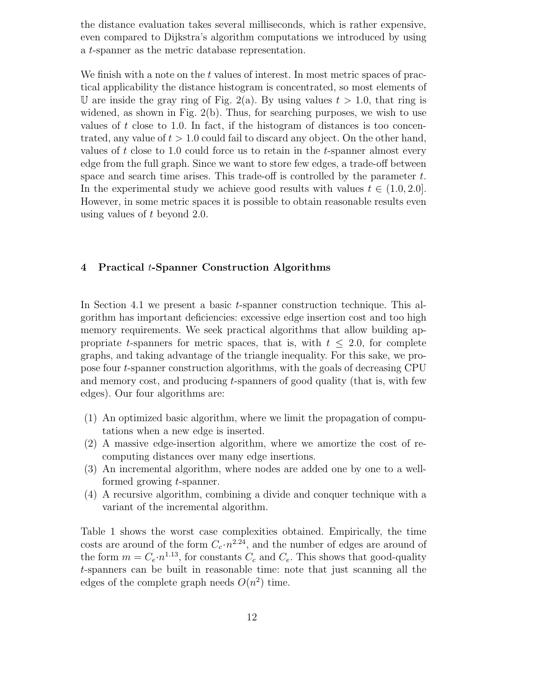the distance evaluation takes several milliseconds, which is rather expensive, even compared to Dijkstra's algorithm computations we introduced by using a t-spanner as the metric database representation.

We finish with a note on the  $t$  values of interest. In most metric spaces of practical applicability the distance histogram is concentrated, so most elements of U are inside the gray ring of Fig. 2(a). By using values  $t > 1.0$ , that ring is widened, as shown in Fig.  $2(b)$ . Thus, for searching purposes, we wish to use values of  $t$  close to 1.0. In fact, if the histogram of distances is too concentrated, any value of  $t > 1.0$  could fail to discard any object. On the other hand, values of  $t$  close to 1.0 could force us to retain in the  $t$ -spanner almost every edge from the full graph. Since we want to store few edges, a trade-off between space and search time arises. This trade-off is controlled by the parameter  $t$ . In the experimental study we achieve good results with values  $t \in (1.0, 2.0]$ . However, in some metric spaces it is possible to obtain reasonable results even using values of t beyond 2.0.

## 4 Practical t-Spanner Construction Algorithms

In Section 4.1 we present a basic  $t$ -spanner construction technique. This algorithm has important deficiencies: excessive edge insertion cost and too high memory requirements. We seek practical algorithms that allow building appropriate t-spanners for metric spaces, that is, with  $t \leq 2.0$ , for complete graphs, and taking advantage of the triangle inequality. For this sake, we propose four t-spanner construction algorithms, with the goals of decreasing CPU and memory cost, and producing t-spanners of good quality (that is, with few edges). Our four algorithms are:

- (1) An optimized basic algorithm, where we limit the propagation of computations when a new edge is inserted.
- (2) A massive edge-insertion algorithm, where we amortize the cost of recomputing distances over many edge insertions.
- (3) An incremental algorithm, where nodes are added one by one to a wellformed growing t-spanner.
- (4) A recursive algorithm, combining a divide and conquer technique with a variant of the incremental algorithm.

Table 1 shows the worst case complexities obtained. Empirically, the time costs are around of the form  $C_c \cdot n^{2.24}$ , and the number of edges are around of the form  $m = C_e \cdot n^{1.13}$ , for constants  $C_c$  and  $C_e$ . This shows that good-quality t-spanners can be built in reasonable time: note that just scanning all the edges of the complete graph needs  $O(n^2)$  time.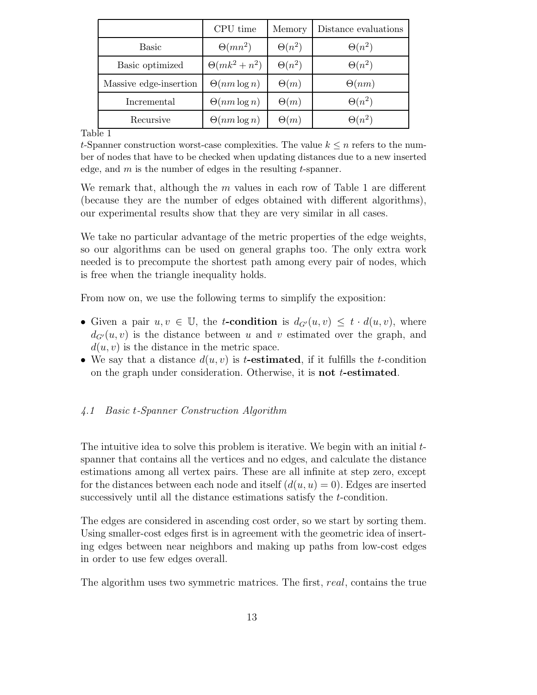|                        | CPU time            | Memory        | Distance evaluations |
|------------------------|---------------------|---------------|----------------------|
| Basic                  | $\Theta(mn^2)$      | $\Theta(n^2)$ | $\Theta(n^2)$        |
| Basic optimized        | $\Theta(mk^2+n^2)$  | $\Theta(n^2)$ | $\Theta(n^2)$        |
| Massive edge-insertion | $\Theta(nm \log n)$ | $\Theta(m)$   | $\Theta(nm)$         |
| Incremental            | $\Theta(nm\log n)$  | $\Theta(m)$   | $\Theta(n^2)$        |
| Recursive              | $\Theta(nm \log n)$ | $\Theta(m)$   | $\Theta(n^2)$        |

Table 1

t-Spanner construction worst-case complexities. The value  $k \leq n$  refers to the number of nodes that have to be checked when updating distances due to a new inserted edge, and  $m$  is the number of edges in the resulting  $t$ -spanner.

We remark that, although the  $m$  values in each row of Table 1 are different (because they are the number of edges obtained with different algorithms), our experimental results show that they are very similar in all cases.

We take no particular advantage of the metric properties of the edge weights, so our algorithms can be used on general graphs too. The only extra work needed is to precompute the shortest path among every pair of nodes, which is free when the triangle inequality holds.

From now on, we use the following terms to simplify the exposition:

- Given a pair  $u, v \in \mathbb{U}$ , the *t*-condition is  $d_{G'}(u, v) \leq t \cdot d(u, v)$ , where  $d_{G'}(u, v)$  is the distance between u and v estimated over the graph, and  $d(u, v)$  is the distance in the metric space.
- We say that a distance  $d(u, v)$  is t-estimated, if it fulfills the t-condition on the graph under consideration. Otherwise, it is **not** *t*-estimated.

# 4.1 Basic t-Spanner Construction Algorithm

The intuitive idea to solve this problem is iterative. We begin with an initial tspanner that contains all the vertices and no edges, and calculate the distance estimations among all vertex pairs. These are all infinite at step zero, except for the distances between each node and itself  $(d(u, u) = 0)$ . Edges are inserted successively until all the distance estimations satisfy the t-condition.

The edges are considered in ascending cost order, so we start by sorting them. Using smaller-cost edges first is in agreement with the geometric idea of inserting edges between near neighbors and making up paths from low-cost edges in order to use few edges overall.

The algorithm uses two symmetric matrices. The first, real, contains the true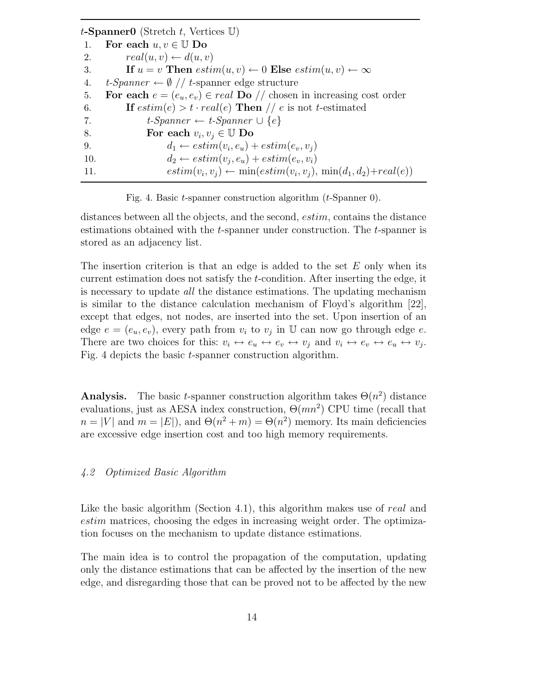$t$ -Spanner0 (Stretch  $t$ , Vertices U)

```
1. For each u, v \in \mathbb{U} Do<br>2. real(u, v) \leftarrow d(u, v)2. real(u, v) \leftarrow d(u, v)<br>3. If u = v Then esting
3. If u = v Then estim(u, v) \leftarrow 0 Else estim(u, v) \leftarrow \infty<br>4. t\text{-}Spanner \leftarrow \emptyset \text{ // } t\text{-}spanner edge structure4. t-Spanner \leftarrow \emptyset // t-spanner edge structure<br>5. For each e = (e_u, e_v) \in real Do // chosen
5. For each e = (e_u, e_v) \in real Do // chosen in increasing cost order<br>6. If estim(e) > t \cdot real(e) Then // e is not t-estimated
6. If estim(e) > t \cdot real(e) Then // e is not t-estimated<br>7. t\text{-}Spanner \leftarrow t\text{-}Spanner \cup \{e\}7. t\text{-}Spanner \leftarrow t\text{-}Spanner \cup \{e\}<br>8. For each v_i, v_j \in \mathbb{U} Do
8. For each v_i, v_j \in \mathbb{U} Do
9. d_1 \leftarrow estim(v_i, e_u) + estim(e_v, v_j)10. d_2 \leftarrow \text{estim}(v_j, e_u) + \text{estim}(e_v, v_i)11. estim(v_i, v_j) \leftarrow min(estim(v_i, v_j), min(d_1, d_2) + real(e))
```
Fig. 4. Basic t-spanner construction algorithm (t-Spanner 0).

distances between all the objects, and the second, estim, contains the distance estimations obtained with the t-spanner under construction. The t-spanner is stored as an adjacency list.

The insertion criterion is that an edge is added to the set  $E$  only when its current estimation does not satisfy the t-condition. After inserting the edge, it is necessary to update all the distance estimations. The updating mechanism is similar to the distance calculation mechanism of Floyd's algorithm [22], except that edges, not nodes, are inserted into the set. Upon insertion of an edge  $e = (e_u, e_v)$ , every path from  $v_i$  to  $v_j$  in  $\mathbb U$  can now go through edge  $e$ . There are two choices for this:  $v_i \leftrightarrow e_u \leftrightarrow e_v \leftrightarrow v_j$  and  $v_i \leftrightarrow e_v \leftrightarrow e_u \leftrightarrow v_j$ . Fig. 4 depicts the basic t-spanner construction algorithm.

**Analysis.** The basic t-spanner construction algorithm takes  $\Theta(n^2)$  distance evaluations, just as AESA index construction,  $\Theta(mn^2)$  CPU time (recall that  $n = |V|$  and  $m = |E|$ , and  $\Theta(n^2 + m) = \Theta(n^2)$  memory. Its main deficiencies are excessive edge insertion cost and too high memory requirements.

## 4.2 Optimized Basic Algorithm

Like the basic algorithm (Section 4.1), this algorithm makes use of real and estim matrices, choosing the edges in increasing weight order. The optimization focuses on the mechanism to update distance estimations.

The main idea is to control the propagation of the computation, updating only the distance estimations that can be affected by the insertion of the new edge, and disregarding those that can be proved not to be affected by the new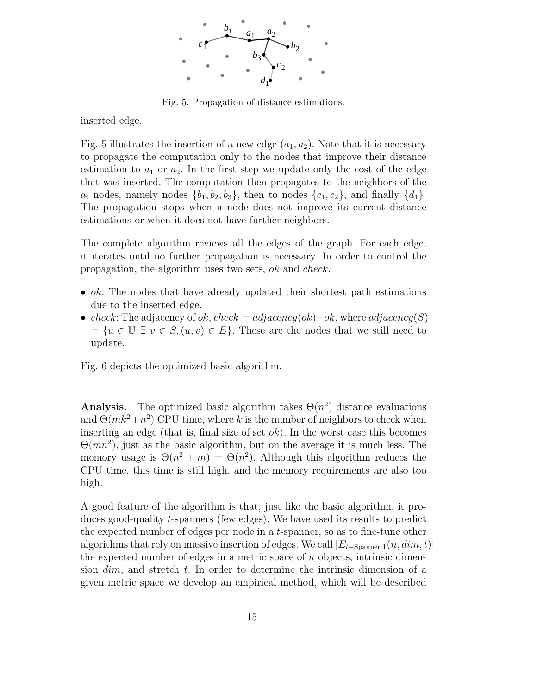

Fig. 5. Propagation of distance estimations.

inserted edge.

Fig. 5 illustrates the insertion of a new edge  $(a_1, a_2)$ . Note that it is necessary to propagate the computation only to the nodes that improve their distance estimation to  $a_1$  or  $a_2$ . In the first step we update only the cost of the edge that was inserted. The computation then propagates to the neighbors of the  $a_i$  nodes, namely nodes  $\{b_1, b_2, b_3\}$ , then to nodes  $\{c_1, c_2\}$ , and finally  $\{d_1\}$ . The propagation stops when a node does not improve its current distance estimations or when it does not have further neighbors.

The complete algorithm reviews all the edges of the graph. For each edge, it iterates until no further propagation is necessary. In order to control the propagation, the algorithm uses two sets, ok and check.

- $\alpha$ : The nodes that have already updated their shortest path estimations due to the inserted edge.
- check: The adjacency of ok, check = adjacency(ok)–ok, where adjacency(S)  $=\{u \in \mathbb{U}, \exists v \in S, (u, v) \in E\}.$  These are the nodes that we still need to update.

Fig. 6 depicts the optimized basic algorithm.

**Analysis.** The optimized basic algorithm takes  $\Theta(n^2)$  distance evaluations and  $\Theta(mk^2+n^2)$  CPU time, where k is the number of neighbors to check when inserting an edge (that is, final size of set  $ok$ ). In the worst case this becomes  $\Theta(mn^2)$ , just as the basic algorithm, but on the average it is much less. The memory usage is  $\Theta(n^2 + m) = \Theta(n^2)$ . Although this algorithm reduces the CPU time, this time is still high, and the memory requirements are also too high.

A good feature of the algorithm is that, just like the basic algorithm, it produces good-quality t-spanners (few edges). We have used its results to predict the expected number of edges per node in a t-spanner, so as to fine-tune other algorithms that rely on massive insertion of edges. We call  $|E_{t-\text{Spanner 1}}(n, dim, t)|$ the expected number of edges in a metric space of  $n$  objects, intrinsic dimension  $\dim$ , and stretch t. In order to determine the intrinsic dimension of a given metric space we develop an empirical method, which will be described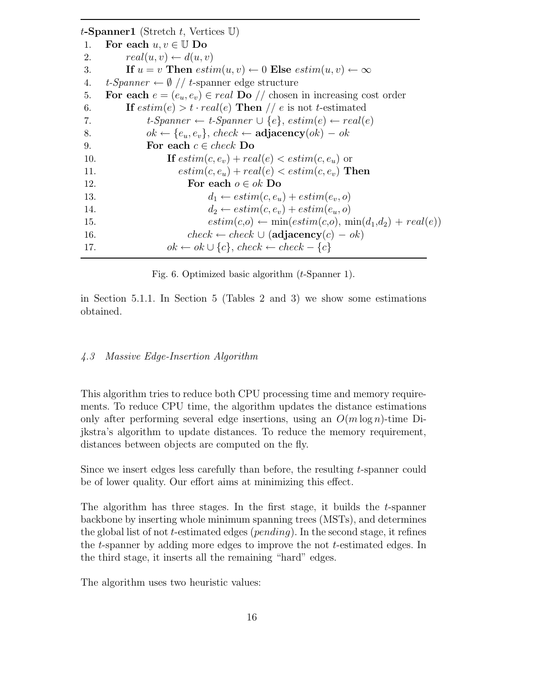t-Spanner1 (Stretch t, Vertices  $\mathbb{U}$ ) 1. For each  $u, v \in \mathbb{U}$  Do<br>2.  $real(u, v) \leftarrow d(u, v)$ 2.  $real(u, v) \leftarrow d(u, v)$ <br>3. If  $u = v$  Then esting 3. If  $u = v$  Then  $estim(u, v) \leftarrow 0$  Else  $estim(u, v) \leftarrow \infty$ <br>4.  $t\text{-}Spanner \leftarrow \emptyset \text{ // } t\text{-}spanner edge structure$ 4. t-Spanner  $\leftarrow \emptyset$  // t-spanner edge structure<br>5. **For each**  $e = (e_u, e_v) \in real$  **Do** // chosen 5. For each  $e = (e_u, e_v) \in real$  Do // chosen in increasing cost order<br>6. If  $estim(e) > t \cdot real(e)$  Then // e is not t-estimated 6. If  $estim(e) > t \cdot real(e)$  Then  $// e$  is not t-estimated<br>7.  $t\text{-}Spanner \leftarrow t\text{-}Spanner \cup \{e\}, \, estim(e) \leftarrow real(e)$ 7. t-Spanner ← t-Spanner ∪ {e}, estim(e) ← real(e)<br>8.  $ok \leftarrow \{e_u, e_v\}$ , check ← **adjacency**(ok) – ok 8.  $ok \leftarrow \{e_u, e_v\}$ , check ← adjacency(ok) – ok<br>9. **For each**  $c \in check$  **Do** 9. **For each**  $c \in check \textbf{Do}$ <br>10. **If**  $estim(c, e_v) + rec$ If  $estim(c, e_v) + real(e) < estim(c, e_u)$  or 11.  $estim(c, e_u) + real(e) < estim(c, e_v)$  Then 12. **For each**  $o \in ok$  **Do**<br>13. **d**<sub>1</sub>  $\leftarrow$  *estim*(*c*, *e*<sub>*u*</sub> 13.  $d_1 \leftarrow estim(c, e_u) + estim(e_v, o)$ <br>  $d_2 \leftarrow estim(c, e_v) + estim(e_u, o)$ 14.  $d_2 \leftarrow estim(c, e_v) + estim(e_u, o)$ <br>15.  $estim(c, o) \leftarrow min(estim(c, o), m)$ 15.  $estim(c, o) \leftarrow min(estim(c, o), min(d_1, d_2) + real(e))$ <br>
16.  $check \leftarrow check \cup (adjacency(c) - ok)$ 16. check ← check ∪ (adjacency(c) – ok)<br>17.  $ok \leftarrow ok \cup \{c\}$ , check ← check – {c}  $ok \leftarrow ok \cup \{c\}, check \leftarrow check - \{c\}$ 

Fig. 6. Optimized basic algorithm (t-Spanner 1).

in Section 5.1.1. In Section 5 (Tables 2 and 3) we show some estimations obtained.

## 4.3 Massive Edge-Insertion Algorithm

This algorithm tries to reduce both CPU processing time and memory requirements. To reduce CPU time, the algorithm updates the distance estimations only after performing several edge insertions, using an  $O(m \log n)$ -time Dijkstra's algorithm to update distances. To reduce the memory requirement, distances between objects are computed on the fly.

Since we insert edges less carefully than before, the resulting t-spanner could be of lower quality. Our effort aims at minimizing this effect.

The algorithm has three stages. In the first stage, it builds the  $t$ -spanner backbone by inserting whole minimum spanning trees (MSTs), and determines the global list of not t-estimated edges ( $pending$ ). In the second stage, it refines the t-spanner by adding more edges to improve the not t-estimated edges. In the third stage, it inserts all the remaining "hard" edges.

The algorithm uses two heuristic values: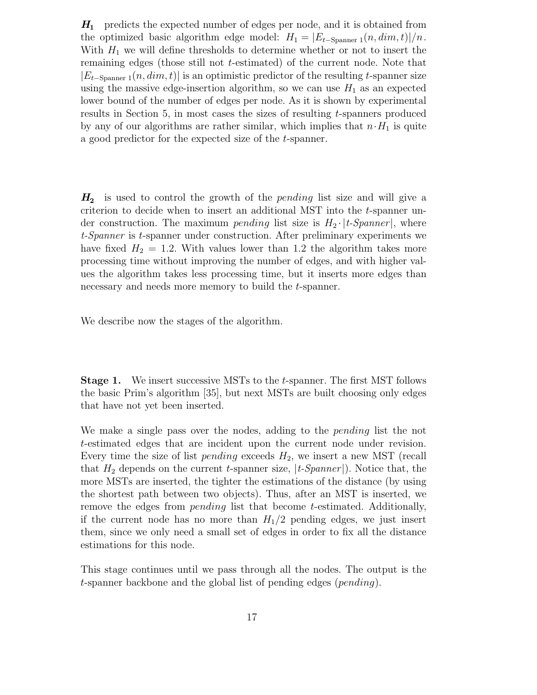$H_1$  predicts the expected number of edges per node, and it is obtained from the optimized basic algorithm edge model:  $H_1 = |E_{t-\text{Spanner }1}(n, dim, t)|/n$ . With  $H_1$  we will define thresholds to determine whether or not to insert the remaining edges (those still not t-estimated) of the current node. Note that  $|E_{t-\text{Spanner 1}}(n, dim, t)|$  is an optimistic predictor of the resulting t-spanner size using the massive edge-insertion algorithm, so we can use  $H_1$  as an expected lower bound of the number of edges per node. As it is shown by experimental results in Section 5, in most cases the sizes of resulting t-spanners produced by any of our algorithms are rather similar, which implies that  $n \cdot H_1$  is quite a good predictor for the expected size of the t-spanner.

 $H_2$  is used to control the growth of the *pending* list size and will give a criterion to decide when to insert an additional MST into the t-spanner under construction. The maximum *pending* list size is  $H_2 \cdot |t\text{-}Spanner|$ , where t-Spanner is t-spanner under construction. After preliminary experiments we have fixed  $H_2 = 1.2$ . With values lower than 1.2 the algorithm takes more processing time without improving the number of edges, and with higher values the algorithm takes less processing time, but it inserts more edges than necessary and needs more memory to build the *t*-spanner.

We describe now the stages of the algorithm.

**Stage 1.** We insert successive MSTs to the *t*-spanner. The first MST follows the basic Prim's algorithm [35], but next MSTs are built choosing only edges that have not yet been inserted.

We make a single pass over the nodes, adding to the pending list the not t-estimated edges that are incident upon the current node under revision. Every time the size of list *pending* exceeds  $H_2$ , we insert a new MST (recall that  $H_2$  depends on the current t-spanner size,  $|t\text{-}Spanner|$ ). Notice that, the more MSTs are inserted, the tighter the estimations of the distance (by using the shortest path between two objects). Thus, after an MST is inserted, we remove the edges from *pending* list that become *t*-estimated. Additionally, if the current node has no more than  $H_1/2$  pending edges, we just insert them, since we only need a small set of edges in order to fix all the distance estimations for this node.

This stage continues until we pass through all the nodes. The output is the t-spanner backbone and the global list of pending edges (pending).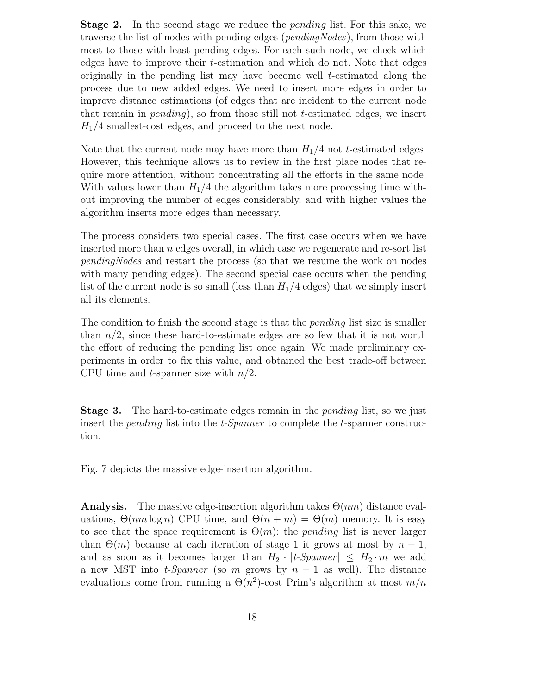**Stage 2.** In the second stage we reduce the *pending* list. For this sake, we traverse the list of nodes with pending edges (*pendingNodes*), from those with most to those with least pending edges. For each such node, we check which edges have to improve their t-estimation and which do not. Note that edges originally in the pending list may have become well t-estimated along the process due to new added edges. We need to insert more edges in order to improve distance estimations (of edges that are incident to the current node that remain in  $pending$ , so from those still not t-estimated edges, we insert  $H_1/4$  smallest-cost edges, and proceed to the next node.

Note that the current node may have more than  $H_1/4$  not t-estimated edges. However, this technique allows us to review in the first place nodes that require more attention, without concentrating all the efforts in the same node. With values lower than  $H_1/4$  the algorithm takes more processing time without improving the number of edges considerably, and with higher values the algorithm inserts more edges than necessary.

The process considers two special cases. The first case occurs when we have inserted more than  $n$  edges overall, in which case we regenerate and re-sort list pendingNodes and restart the process (so that we resume the work on nodes with many pending edges). The second special case occurs when the pending list of the current node is so small (less than  $H_1/4$  edges) that we simply insert all its elements.

The condition to finish the second stage is that the *pending* list size is smaller than  $n/2$ , since these hard-to-estimate edges are so few that it is not worth the effort of reducing the pending list once again. We made preliminary experiments in order to fix this value, and obtained the best trade-off between CPU time and *t*-spanner size with  $n/2$ .

**Stage 3.** The hard-to-estimate edges remain in the *pending* list, so we just insert the *pending* list into the *t-Spanner* to complete the *t*-spanner construction.

Fig. 7 depicts the massive edge-insertion algorithm.

**Analysis.** The massive edge-insertion algorithm takes  $\Theta(nm)$  distance evaluations,  $\Theta(nm \log n)$  CPU time, and  $\Theta(n + m) = \Theta(m)$  memory. It is easy to see that the space requirement is  $\Theta(m)$ : the *pending* list is never larger than  $\Theta(m)$  because at each iteration of stage 1 it grows at most by  $n-1$ , and as soon as it becomes larger than  $H_2 \cdot |t\text{-}Spanner| \leq H_2 \cdot m$  we add a new MST into t-Spanner (so m grows by  $n-1$  as well). The distance evaluations come from running a  $\Theta(n^2)$ -cost Prim's algorithm at most  $m/n$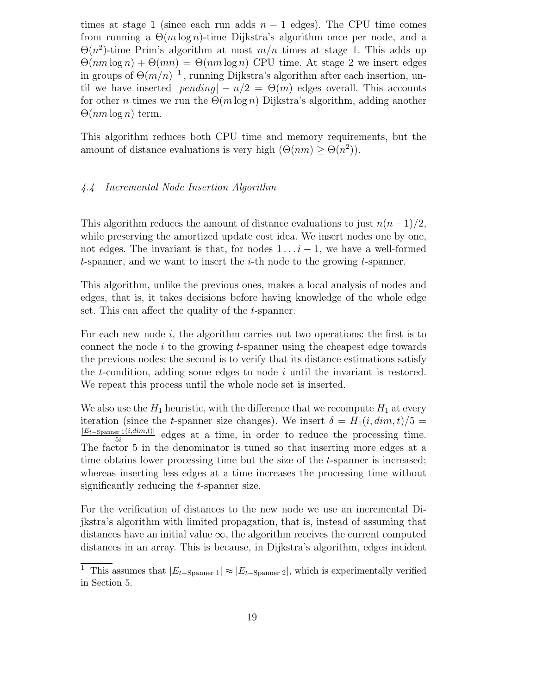times at stage 1 (since each run adds  $n-1$  edges). The CPU time comes from running a  $\Theta(m \log n)$ -time Dijkstra's algorithm once per node, and a  $\Theta(n^2)$ -time Prim's algorithm at most  $m/n$  times at stage 1. This adds up  $\Theta(nm \log n) + \Theta(mn) = \Theta(nm \log n)$  CPU time. At stage 2 we insert edges in groups of  $\Theta(m/n)^{-1}$ , running Dijkstra's algorithm after each insertion, until we have inserted  $|pending| - n/2 = \Theta(m)$  edges overall. This accounts for other n times we run the  $\Theta(m \log n)$  Dijkstra's algorithm, adding another  $\Theta(nm \log n)$  term.

This algorithm reduces both CPU time and memory requirements, but the amount of distance evaluations is very high  $(\Theta(nm) \geq \Theta(n^2)).$ 

## 4.4 Incremental Node Insertion Algorithm

This algorithm reduces the amount of distance evaluations to just  $n(n-1)/2$ , while preserving the amortized update cost idea. We insert nodes one by one, not edges. The invariant is that, for nodes  $1 \dots i - 1$ , we have a well-formed t-spanner, and we want to insert the  $i$ -th node to the growing t-spanner.

This algorithm, unlike the previous ones, makes a local analysis of nodes and edges, that is, it takes decisions before having knowledge of the whole edge set. This can affect the quality of the t-spanner.

For each new node i, the algorithm carries out two operations: the first is to connect the node  $i$  to the growing  $t$ -spanner using the cheapest edge towards the previous nodes; the second is to verify that its distance estimations satisfy the  $t$ -condition, adding some edges to node  $i$  until the invariant is restored. We repeat this process until the whole node set is inserted.

We also use the  $H_1$  heuristic, with the difference that we recompute  $H_1$  at every iteration (since the *t*-spanner size changes). We insert  $\delta = H_1(i, dim, t)/5$  $|E_{t-\text{Spanner 1}}(i, dim, t)|$  $\frac{\text{Sir } \mathcal{L}(t, \mathcal{U}, \mathcal{U})}{\text{Sir}}$  edges at a time, in order to reduce the processing time. The factor 5 in the denominator is tuned so that inserting more edges at a time obtains lower processing time but the size of the t-spanner is increased; whereas inserting less edges at a time increases the processing time without significantly reducing the *t*-spanner size.

For the verification of distances to the new node we use an incremental Dijkstra's algorithm with limited propagation, that is, instead of assuming that distances have an initial value  $\infty$ , the algorithm receives the current computed distances in an array. This is because, in Dijkstra's algorithm, edges incident

<sup>&</sup>lt;sup>1</sup> This assumes that  $|E_{t-\text{Spanner 1}}| \approx |E_{t-\text{Spanner 2}}|$ , which is experimentally verified in Section 5.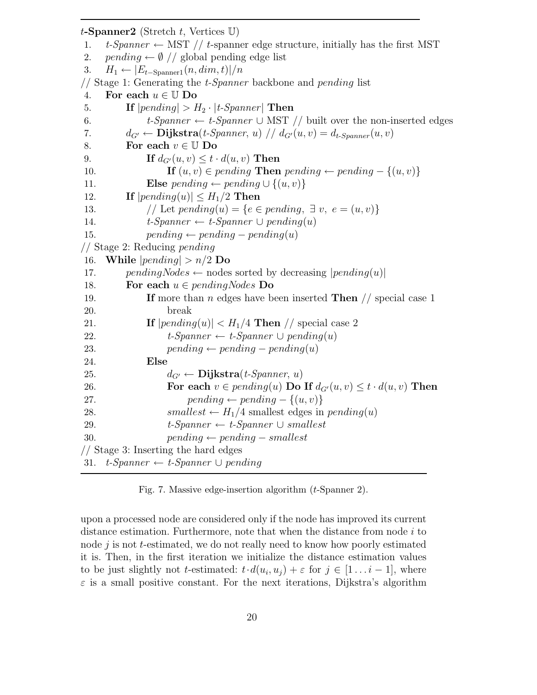$t$ -Spanner2 (Stretch t, Vertices U)

1. t-Spanner ← MST // t-spanner edge structure, initially has the first MST 2. pending ←  $\emptyset$  // global pending edge list

2. pending  $\leftarrow \emptyset$  // global pending edge list<br>3.  $H_1 \leftarrow |E_{t-\text{Spanper1}}(n, dim, t)|/n$ 

```
H_1 \leftarrow |E_{t-\text{Spanner1}}(n, dim, t)|/n
```
// Stage 1: Generating the t-Spanner backbone and pending list

4. For each  $u \in \mathbb{U}$  Do<br>5. If  $|pending| > h$ 5. **If**  $|pending| > H_2 \cdot |t-Spanner|$  **Then**<br>6.  $t-Spanner \leftarrow t-Spanner \cup MST$ 6. t-Spanner ← t-Spanner ∪ MST // built over the non-inserted edges<br>7.  $d_{G'} \leftarrow \textbf{Dijkstra}(t\text{-}Spanner, u) / / d_{G'}(u, v) = d_{t\text{-}Spanner}(u, v)$ 7.  $d_{G'} \leftarrow \textbf{Dijkstra}(t\text{-}Spanner, u) // d_{G'}(u, v) = d_{t\text{-}Spanner}(u, v)$ <br>8. For each  $v \in U \textbf{Do}$ 8. For each  $v \in \mathbb{U}$  Do<br>9. If  $d_{G'}(u, v) \le t$ . 9. **If**  $d_{G'}(u, v) \le t \cdot d(u, v)$  **Then**<br>10. **If**  $(u, v) \in pending$  **Then** 10. **If**  $(u, v) \in pending$  **Then** pending ← pending – { $(u, v)$ }<br>11. **Else** pending ← pending ∪ { $(u, v)$ } 11. **Else** pending ← pending ∪ {(u, v)}<br>12. **If**  $|pending(u)| < H_1/2$  **Then** 12. If  $|pending(u)| \leq H_1/2$  Then<br>13. // Let  $pending(u) = \{e \in$ 13. // Let  $pending(u) = \{e \in pending, \exists v, e = (u, v)\}\$ <br>14.  $t\text{-}Spanner \leftarrow t\text{-}Spanner \cup pending(u)$ 14. t-Spanner ← t-Spanner ∪ pending(u)<br>15. pending ← pending – pending(u)  $pending \leftarrow pending - pending(u)$ // Stage 2: Reducing pending 16. While  $|pending| > n/2$  Do<br>17.  $pendingNodes \leftarrow nodes$ 17. pendingNodes ← nodes sorted by decreasing  $|pending(u)|$ <br>18. **For each**  $u \in pendinqNodes$  **Do** 18. **For each**  $u \in pendingNodes$  **Do**<br>19. **If** more than *n* edges have b If more than n edges have been inserted Then  $//$  special case 1 20. break 21. **If**  $|pending(u)| < H_1/4$  **Then**  $|$  special case 2<br>22. **If**  $t$ -Spanner  $\leftarrow t$ -Spanner  $\cup$  pending(u) 22. t-Spanner ← t-Spanner ∪ pending(u)<br>23. pending ← pending – pending(u) 23. pending ← pending – pending (u)<br>24. **Else** Else 25.  $d_{G'} \leftarrow \textbf{Dijkstra}(t-Spanner, u)$ <br>
26. **For each**  $v \in pending(u) \textbf{Do}$ 26. **For each**  $v \in pending(u)$  **Do If**  $d_{G'}(u, v) \le t \cdot d(u, v)$  **Then** 27. 27. pending ← pending – { $(u, v)$ }<br>28. smallest ←  $H_1/4$  smallest edges in 28. smallest ←  $H_1/4$  smallest edges in pending(u)<br>29. t-Spanner ← t-Spanner ∪ smallest 29. t-Spanner ← t-Spanner ∪ smallest<br>30. the pending ← pending – smallest  $pending \leftarrow pending - smallest$ // Stage 3: Inserting the hard edges 31. t-Spanner ← t-Spanner  $\cup$  pending

Fig. 7. Massive edge-insertion algorithm (t-Spanner 2).

upon a processed node are considered only if the node has improved its current distance estimation. Furthermore, note that when the distance from node  $i$  to node  $j$  is not  $t$ -estimated, we do not really need to know how poorly estimated it is. Then, in the first iteration we initialize the distance estimation values to be just slightly not t-estimated:  $t \cdot d(u_i, u_j) + \varepsilon$  for  $j \in [1 \dots i - 1]$ , where  $\varepsilon$  is a small positive constant. For the next iterations, Dijkstra's algorithm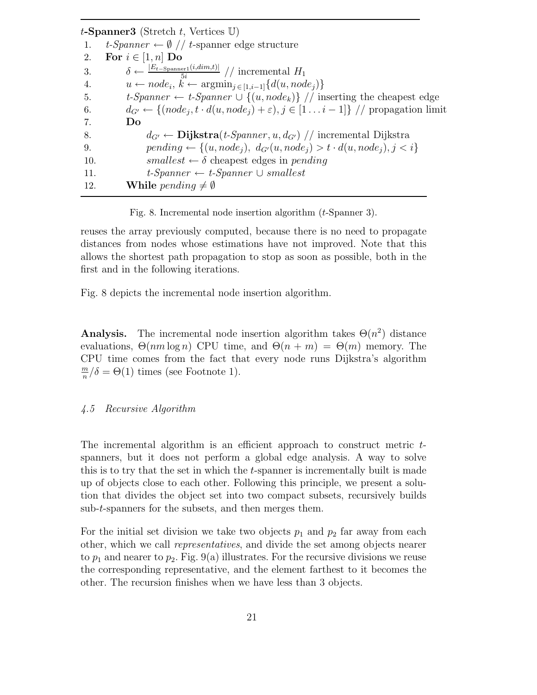$t$ -Spanner3 (Stretch t, Vertices U)

| 1.  | t-Spanner $\leftarrow \emptyset$ // t-spanner edge structure                                                   |
|-----|----------------------------------------------------------------------------------------------------------------|
| 2.  | For $i \in [1, n]$ Do                                                                                          |
| 3.  | $\delta \leftarrow \frac{ E_{t-\text{Spanner1}}(i, dim, t) }{5i}$ // incremental $H_1$                         |
| 4.  | $u \leftarrow node_i, k \leftarrow \text{argmin}_{j \in [1, i-1]} \{d(u, node_j)\}\$                           |
| 5.  | t-Spanner $\leftarrow t$ -Spanner $\cup$ { $(u, node_k)$ } // inserting the cheapest edge                      |
| 6.  | $d_{G'} \leftarrow \{(node_j, t \cdot d(u, node_j) + \varepsilon), j \in [1 \dots i-1]\}$ // propagation limit |
| 7.  | Do                                                                                                             |
| 8.  | $d_{G'} \leftarrow \textbf{Dijkstra}(t\text{-}Spanner, u, d_{G'})$ // incremental Dijkstra                     |
| 9.  | $pending \leftarrow \{(u, node_i), d_{G'}(u, node_i) > t \cdot d(u, node_i), j < i\}$                          |
| 10. | smallest $\leftarrow \delta$ cheapest edges in pending                                                         |
| 11. | $t\text{-}Spanner \leftarrow t\text{-}Spanner \cup smallest$                                                   |
| 12. | While pending $\neq \emptyset$                                                                                 |
|     |                                                                                                                |

Fig. 8. Incremental node insertion algorithm (t-Spanner 3).

reuses the array previously computed, because there is no need to propagate distances from nodes whose estimations have not improved. Note that this allows the shortest path propagation to stop as soon as possible, both in the first and in the following iterations.

Fig. 8 depicts the incremental node insertion algorithm.

**Analysis.** The incremental node insertion algorithm takes  $\Theta(n^2)$  distance evaluations,  $\Theta(nm \log n)$  CPU time, and  $\Theta(n + m) = \Theta(m)$  memory. The CPU time comes from the fact that every node runs Dijkstra's algorithm m  $\frac{m}{n}/\delta = \Theta(1)$  times (see Footnote 1).

## 4.5 Recursive Algorithm

The incremental algorithm is an efficient approach to construct metric tspanners, but it does not perform a global edge analysis. A way to solve this is to try that the set in which the t-spanner is incrementally built is made up of objects close to each other. Following this principle, we present a solution that divides the object set into two compact subsets, recursively builds sub-t-spanners for the subsets, and then merges them.

For the initial set division we take two objects  $p_1$  and  $p_2$  far away from each other, which we call representatives, and divide the set among objects nearer to  $p_1$  and nearer to  $p_2$ . Fig. 9(a) illustrates. For the recursive divisions we reuse the corresponding representative, and the element farthest to it becomes the other. The recursion finishes when we have less than 3 objects.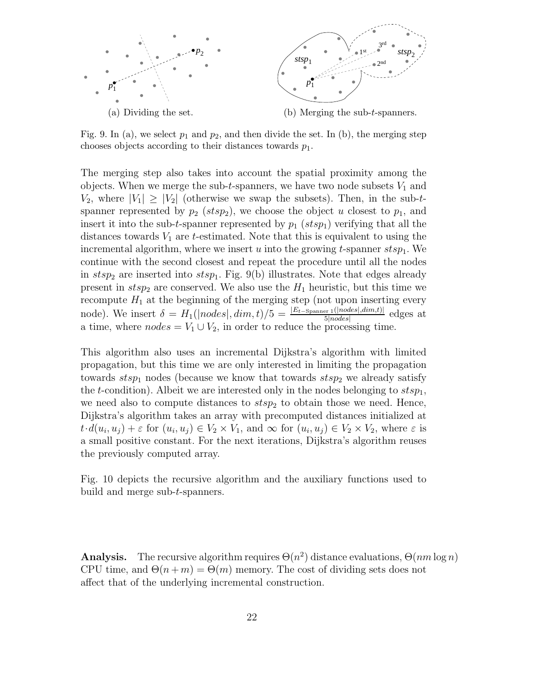

Fig. 9. In (a), we select  $p_1$  and  $p_2$ , and then divide the set. In (b), the merging step chooses objects according to their distances towards  $p_1$ .

The merging step also takes into account the spatial proximity among the objects. When we merge the sub-t-spanners, we have two node subsets  $V_1$  and  $V_2$ , where  $|V_1| \geq |V_2|$  (otherwise we swap the subsets). Then, in the sub-tspanner represented by  $p_2$  (stsp<sub>2</sub>), we choose the object u closest to  $p_1$ , and insert it into the sub-t-spanner represented by  $p_1$  (stsp<sub>1</sub>) verifying that all the distances towards  $V_1$  are t-estimated. Note that this is equivalent to using the incremental algorithm, where we insert u into the growing t-spanner  $stsp_1$ . We continue with the second closest and repeat the procedure until all the nodes in  $stsp_2$  are inserted into  $stsp_1$ . Fig. 9(b) illustrates. Note that edges already present in  $stsp_2$  are conserved. We also use the  $H_1$  heuristic, but this time we recompute  $H_1$  at the beginning of the merging step (not upon inserting every node). We insert  $\delta = H_1(|nodes|, dim, t)/5 = \frac{|E_{t-\text{Spanner 1}}(|nodes|, dim, t)|}{5|nodes|}$  edges at a time, where  $nodes = V_1 \cup V_2$ , in order to reduce the processing time.

This algorithm also uses an incremental Dijkstra's algorithm with limited propagation, but this time we are only interested in limiting the propagation towards  $stsp_1$  nodes (because we know that towards  $stsp_2$  we already satisfy the t-condition). Albeit we are interested only in the nodes belonging to  $stsp_1$ , we need also to compute distances to  $stsp_2$  to obtain those we need. Hence, Dijkstra's algorithm takes an array with precomputed distances initialized at  $t \cdot d(u_i, u_j) + \varepsilon$  for  $(u_i, u_j) \in V_2 \times V_1$ , and  $\infty$  for  $(u_i, u_j) \in V_2 \times V_2$ , where  $\varepsilon$  is a small positive constant. For the next iterations, Dijkstra's algorithm reuses the previously computed array.

Fig. 10 depicts the recursive algorithm and the auxiliary functions used to build and merge sub-t-spanners.

**Analysis.** The recursive algorithm requires  $\Theta(n^2)$  distance evaluations,  $\Theta(nm \log n)$ CPU time, and  $\Theta(n+m) = \Theta(m)$  memory. The cost of dividing sets does not affect that of the underlying incremental construction.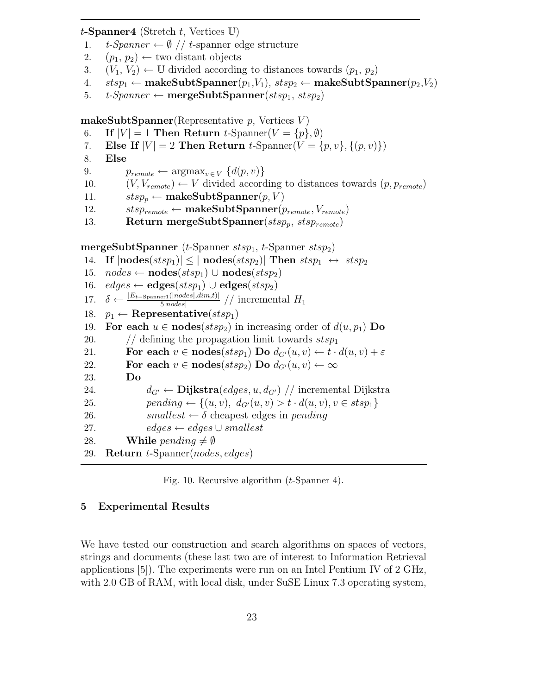t-Spanner4 (Stretch t, Vertices  $\mathbb{U}$ )

- 1.  $t\text{-}Spanner \leftarrow \emptyset \text{ // } t\text{-spanner edge structure}$ <br>2.  $(p_1, p_2) \leftarrow \text{two distant objects}$
- 2.  $(p_1, p_2) \leftarrow$  two distant objects<br>3.  $(V_1, V_2) \leftarrow \mathbb{U}$  divided accordin
- 3.  $(V_1, V_2) \leftarrow \mathbb{U}$  divided according to distances towards  $(p_1, p_2)$ <br>4.  $stsp_1 \leftarrow \textbf{makeSubtSpanner}(p_1, V_1), \, stsp_2 \leftarrow \textbf{makeSubtSp}$
- 4.  $stsp_1 \leftarrow makeSubtSpanner(p_1, V_1), \nstsp_2 \leftarrow makeSubtSpanner(p_2, V_2)$ <br>
5.  $t\text{-}Spanner \leftarrow mergeSubtSpanner(stsp_1, \nstsp_2)$
- $t-Spanner \leftarrow mergeSubtSpanner(stsp_1, stsp_2)$

 $\mathbf{makeSubtSpanner}(\text{Representative } p, \text{Vertices } V)$ 

- 6. If  $|V| = 1$  Then Return t-Spanner $(V = \{p\}, \emptyset)$ <br>7. Else If  $|V| = 2$  Then Return t-Spanner $(V = \{$
- 7. Else If  $|V| = 2$  Then Return t-Spanner $(V = {p, v}, {(p, v)})$ <br>8. Else
- 8. Else

```
9. p_{remote} \leftarrow \argmax_{v \in V} \{d(p, v)\}<br>10. (V, V_{remote}) \leftarrow V divided accord
```
- 10.  $(V, V_{remote}) \leftarrow V$  divided according to distances towards  $(p, p_{remote})$ <br>11.  $stsp_n \leftarrow \textbf{makeSubtSpanner}(p, V)$
- 11.  $stsp_p \leftarrow \text{makeSubtSpanner}(p, V)$ <br>12.  $stsp_{remote} \leftarrow \text{makeSubtSpanner}(p, V)$
- 12.  $stsp_{remote} \leftarrow \text{makeSubtSpanner}(p_{remote}, V_{remote})$ <br>
13. **Return mergeSubtSpanner**( $stsp_n, stsp_{remote}$ )

```
Return mergeSubtSpanner(stsp_p, stsp_{remote})
```
mergeSubtSpanner (*t*-Spanner  $stsp_1$ , *t*-Spanner  $stsp_2$ )

```
14. If |nodes(stsp_1)| \leq |nodes(stsp_2)| Then stsp_1 \leftrightarrow stsp_2<br>15. nodes \leftarrow nodes(stsp_1) \cup nodes(stsp_2)
```

```
15. nodes \leftarrow nodes(stsp_1) \cup nodes(stsp_2)<br>16. edges \leftarrow edges(stsp_1) \cup edges(stsp_2)
```
- 
- 16. edges ← **edges**(stsp<sub>1</sub>) ∪ **edges**(stsp<sub>2</sub>)<br>17.  $\delta \leftarrow \frac{|E_{t-\text{Spaner1}}(|nodes|, dim, t)|}{|N|}$  // increment 17.  $\delta \leftarrow \frac{|E_{t-\text{Spanner1}}(|nodes|, dim, t)|}{5|nodes|}$  $\frac{\frac{1}{5|nodes|}, \frac{1}{5|nodes|}}{5|nodes|}$  // incremental  $H_1$

```
18. p_1 \leftarrow Representative(stsp<sub>1</sub>)<br>19. For each u \in \text{nodes}(stsp_2) is
```

```
19. For each u \in \textbf{nodes}(stsp_2) in increasing order of d(u, p_1) Do 20. // defining the propagation limit towards stsp_1
```
- // defining the propagation limit towards  $stsp_1$
- 21. For each  $v \in \text{nodes}(stsp_1) \text{ Do } d_{G'}(u, v) \leftarrow t \cdot d(u, v) + \varepsilon$ <br>
22. For each  $v \in \text{nodes}(stssp_2) \text{ Do } d_{G'}(u, v) \leftarrow \infty$
- 22. For each  $v \in \textbf{nodes}(stsp_2) \textbf{Do } d_{G'}(u, v) \leftarrow \infty$ <br>23. Do
- 23. Do

```
24. d_{G'} \leftarrow \textbf{Dijkstra}(edges, u, d_{G'}) / / \text{incremental Dijkstra}<br>
25. \text{pending} \leftarrow \{(u, v), d_{G'}(u, v) > t \cdot d(u, v), v \in stsp_1\}
```
- 25. pending ← { $(u, v)$ ,  $d_{G'}(u, v) > t \cdot d(u, v)$ ,  $v \in stsp_1$ }<br>26. smallest ←  $\delta$  cheapest edges in pending
- 26. smallest ←  $\delta$  cheapest edges in pending<br>27. edges ← edges  $\cup$  smallest
- 27. edges ← edges ∪ smallest<br>28. While pending  $\neq \emptyset$
- 28. **While** pending  $\neq \emptyset$ <br>29. **Return** *t*-Spanner(*node*.

```
Return t-Spanner(nodes, edges)
```
Fig. 10. Recursive algorithm (t-Spanner 4).

## 5 Experimental Results

We have tested our construction and search algorithms on spaces of vectors, strings and documents (these last two are of interest to Information Retrieval applications [5]). The experiments were run on an Intel Pentium IV of 2 GHz, with 2.0 GB of RAM, with local disk, under SuSE Linux 7.3 operating system,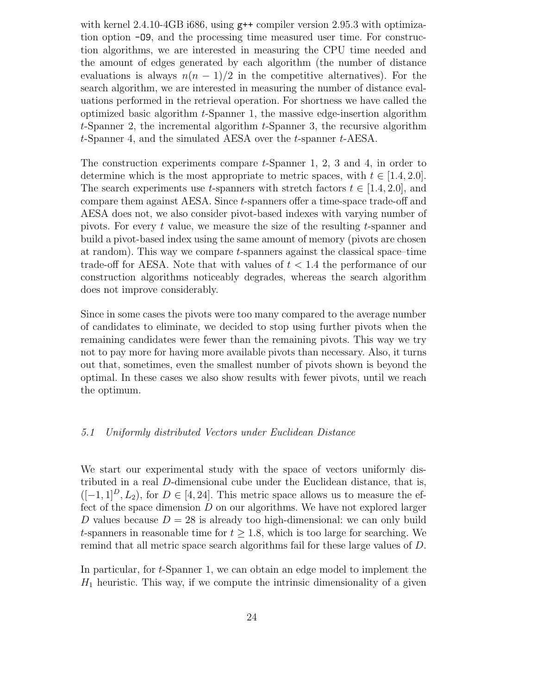with kernel  $2.4.10$ -4GB i686, using  $g$ ++ compiler version 2.95.3 with optimization option -O9, and the processing time measured user time. For construction algorithms, we are interested in measuring the CPU time needed and the amount of edges generated by each algorithm (the number of distance evaluations is always  $n(n - 1)/2$  in the competitive alternatives). For the search algorithm, we are interested in measuring the number of distance evaluations performed in the retrieval operation. For shortness we have called the optimized basic algorithm t-Spanner 1, the massive edge-insertion algorithm t-Spanner 2, the incremental algorithm t-Spanner 3, the recursive algorithm t-Spanner 4, and the simulated AESA over the t-spanner t-AESA.

The construction experiments compare  $t$ -Spanner 1, 2, 3 and 4, in order to determine which is the most appropriate to metric spaces, with  $t \in [1.4, 2.0]$ . The search experiments use t-spanners with stretch factors  $t \in [1.4, 2.0]$ , and compare them against AESA. Since t-spanners offer a time-space trade-off and AESA does not, we also consider pivot-based indexes with varying number of pivots. For every  $t$  value, we measure the size of the resulting  $t$ -spanner and build a pivot-based index using the same amount of memory (pivots are chosen at random). This way we compare t-spanners against the classical space–time trade-off for AESA. Note that with values of  $t < 1.4$  the performance of our construction algorithms noticeably degrades, whereas the search algorithm does not improve considerably.

Since in some cases the pivots were too many compared to the average number of candidates to eliminate, we decided to stop using further pivots when the remaining candidates were fewer than the remaining pivots. This way we try not to pay more for having more available pivots than necessary. Also, it turns out that, sometimes, even the smallest number of pivots shown is beyond the optimal. In these cases we also show results with fewer pivots, until we reach the optimum.

#### 5.1 Uniformly distributed Vectors under Euclidean Distance

We start our experimental study with the space of vectors uniformly distributed in a real D-dimensional cube under the Euclidean distance, that is,  $([-1, 1]^D, L_2)$ , for  $D \in [4, 24]$ . This metric space allows us to measure the effect of the space dimension  $D$  on our algorithms. We have not explored larger D values because  $D = 28$  is already too high-dimensional: we can only build t-spanners in reasonable time for  $t > 1.8$ , which is too large for searching. We remind that all metric space search algorithms fail for these large values of D.

In particular, for t-Spanner 1, we can obtain an edge model to implement the  $H_1$  heuristic. This way, if we compute the intrinsic dimensionality of a given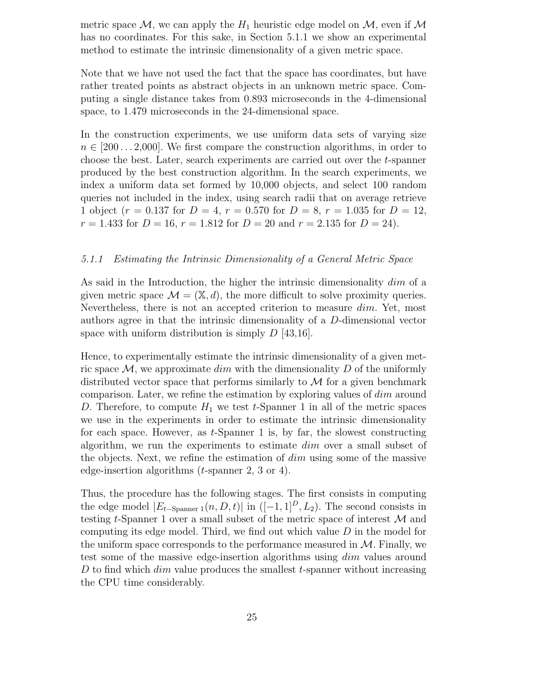metric space M, we can apply the  $H_1$  heuristic edge model on M, even if M has no coordinates. For this sake, in Section 5.1.1 we show an experimental method to estimate the intrinsic dimensionality of a given metric space.

Note that we have not used the fact that the space has coordinates, but have rather treated points as abstract objects in an unknown metric space. Computing a single distance takes from 0.893 microseconds in the 4-dimensional space, to 1.479 microseconds in the 24-dimensional space.

In the construction experiments, we use uniform data sets of varying size  $n \in [200 \ldots 2,000]$ . We first compare the construction algorithms, in order to choose the best. Later, search experiments are carried out over the t-spanner produced by the best construction algorithm. In the search experiments, we index a uniform data set formed by 10,000 objects, and select 100 random queries not included in the index, using search radii that on average retrieve 1 object ( $r = 0.137$  for  $D = 4$ ,  $r = 0.570$  for  $D = 8$ ,  $r = 1.035$  for  $D = 12$ ,  $r = 1.433$  for  $D = 16$ ,  $r = 1.812$  for  $D = 20$  and  $r = 2.135$  for  $D = 24$ ).

#### 5.1.1 Estimating the Intrinsic Dimensionality of a General Metric Space

As said in the Introduction, the higher the intrinsic dimensionality dim of a given metric space  $\mathcal{M} = (\mathbb{X}, d)$ , the more difficult to solve proximity queries. Nevertheless, there is not an accepted criterion to measure dim. Yet, most authors agree in that the intrinsic dimensionality of a D-dimensional vector space with uniform distribution is simply  $D$  [43,16].

Hence, to experimentally estimate the intrinsic dimensionality of a given metric space  $\mathcal{M}$ , we approximate dim with the dimensionality D of the uniformly distributed vector space that performs similarly to  $\mathcal M$  for a given benchmark comparison. Later, we refine the estimation by exploring values of dim around D. Therefore, to compute  $H_1$  we test t-Spanner 1 in all of the metric spaces we use in the experiments in order to estimate the intrinsic dimensionality for each space. However, as  $t$ -Spanner 1 is, by far, the slowest constructing algorithm, we run the experiments to estimate dim over a small subset of the objects. Next, we refine the estimation of dim using some of the massive edge-insertion algorithms (t-spanner 2, 3 or 4).

Thus, the procedure has the following stages. The first consists in computing the edge model  $|E_{t-\text{Spanner }1}(n, D, t)|$  in  $([-1, 1]^D, L_2)$ . The second consists in testing t-Spanner 1 over a small subset of the metric space of interest  $\mathcal M$  and computing its edge model. Third, we find out which value  $D$  in the model for the uniform space corresponds to the performance measured in  $M$ . Finally, we test some of the massive edge-insertion algorithms using dim values around D to find which dim value produces the smallest t-spanner without increasing the CPU time considerably.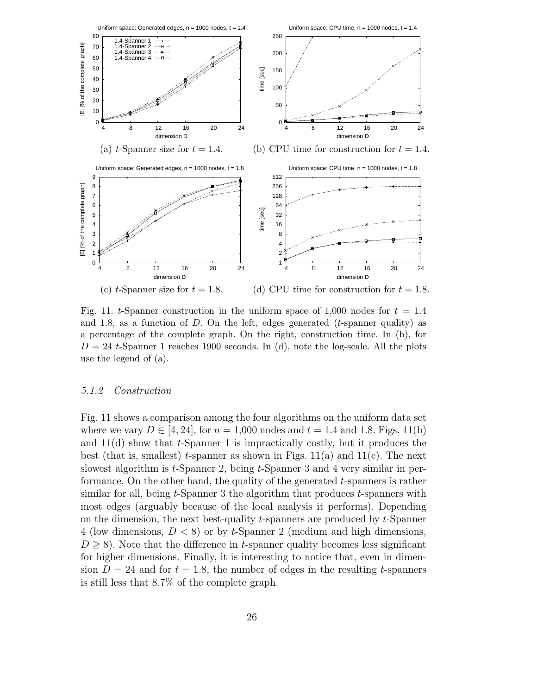

Fig. 11. t-Spanner construction in the uniform space of 1,000 nodes for  $t = 1.4$ and 1.8, as a function of  $D$ . On the left, edges generated (*t*-spanner quality) as a percentage of the complete graph. On the right, construction time. In (b), for  $D = 24$  t-Spanner 1 reaches 1900 seconds. In (d), note the log-scale. All the plots use the legend of (a).

#### 5.1.2 Construction

Fig. 11 shows a comparison among the four algorithms on the uniform data set where we vary  $D \in [4, 24]$ , for  $n = 1,000$  nodes and  $t = 1.4$  and 1.8. Figs. 11(b) and  $11(d)$  show that t-Spanner 1 is impractically costly, but it produces the best (that is, smallest) t-spanner as shown in Figs.  $11(a)$  and  $11(c)$ . The next slowest algorithm is  $t$ -Spanner 2, being  $t$ -Spanner 3 and 4 very similar in performance. On the other hand, the quality of the generated  $t$ -spanners is rather similar for all, being  $t$ -Spanner 3 the algorithm that produces  $t$ -spanners with most edges (arguably because of the local analysis it performs). Depending on the dimension, the next best-quality t-spanners are produced by t-Spanner 4 (low dimensions,  $D < 8$ ) or by t-Spanner 2 (medium and high dimensions,  $D \geq 8$ ). Note that the difference in t-spanner quality becomes less significant for higher dimensions. Finally, it is interesting to notice that, even in dimension  $D = 24$  and for  $t = 1.8$ , the number of edges in the resulting t-spanners is still less that 8.7% of the complete graph.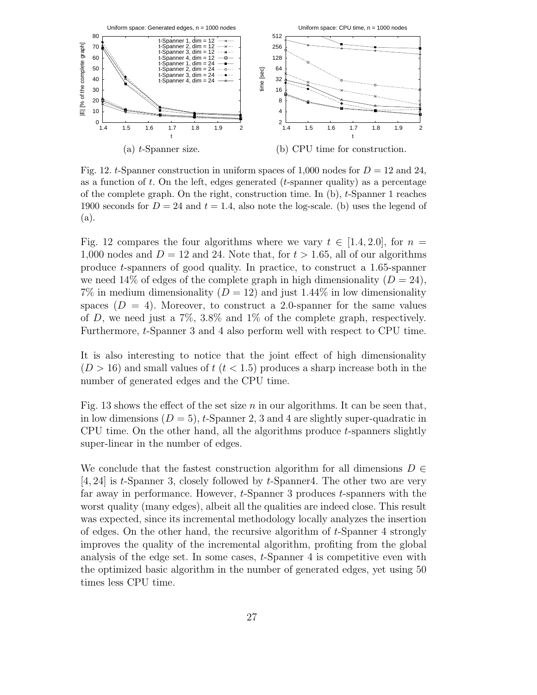

Fig. 12. t-Spanner construction in uniform spaces of 1,000 nodes for  $D = 12$  and 24, as a function of  $t$ . On the left, edges generated ( $t$ -spanner quality) as a percentage of the complete graph. On the right, construction time. In (b), t-Spanner 1 reaches 1900 seconds for  $D = 24$  and  $t = 1.4$ , also note the log-scale. (b) uses the legend of (a).

Fig. 12 compares the four algorithms where we vary  $t \in [1.4, 2.0]$ , for  $n =$ 1,000 nodes and  $D = 12$  and 24. Note that, for  $t > 1.65$ , all of our algorithms produce t-spanners of good quality. In practice, to construct a 1.65-spanner we need 14% of edges of the complete graph in high dimensionality  $(D = 24)$ , 7% in medium dimensionality  $(D = 12)$  and just 1.44% in low dimensionality spaces  $(D = 4)$ . Moreover, to construct a 2.0-spanner for the same values of D, we need just a  $7\%$ ,  $3.8\%$  and  $1\%$  of the complete graph, respectively. Furthermore, t-Spanner 3 and 4 also perform well with respect to CPU time.

It is also interesting to notice that the joint effect of high dimensionality  $(D > 16)$  and small values of  $t$   $(t < 1.5)$  produces a sharp increase both in the number of generated edges and the CPU time.

Fig. 13 shows the effect of the set size  $n$  in our algorithms. It can be seen that, in low dimensions  $(D = 5)$ , t-Spanner 2, 3 and 4 are slightly super-quadratic in CPU time. On the other hand, all the algorithms produce t-spanners slightly super-linear in the number of edges.

We conclude that the fastest construction algorithm for all dimensions  $D \in$ [4, 24] is t-Spanner 3, closely followed by t-Spanner4. The other two are very far away in performance. However,  $t$ -Spanner 3 produces  $t$ -spanners with the worst quality (many edges), albeit all the qualities are indeed close. This result was expected, since its incremental methodology locally analyzes the insertion of edges. On the other hand, the recursive algorithm of  $t$ -Spanner 4 strongly improves the quality of the incremental algorithm, profiting from the global analysis of the edge set. In some cases, t-Spanner 4 is competitive even with the optimized basic algorithm in the number of generated edges, yet using 50 times less CPU time.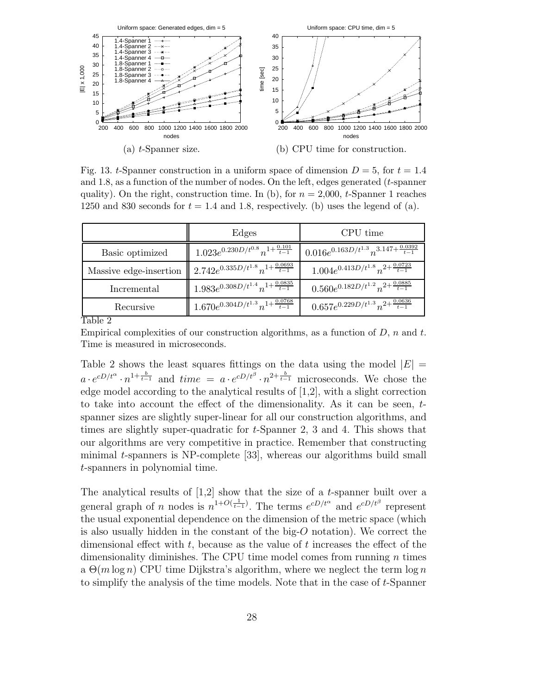

Fig. 13. t-Spanner construction in a uniform space of dimension  $D = 5$ , for  $t = 1.4$ and 1.8, as a function of the number of nodes. On the left, edges generated  $(t$ -spanner quality). On the right, construction time. In (b), for  $n = 2,000$ , t-Spanner 1 reaches 1250 and 830 seconds for  $t = 1.4$  and 1.8, respectively. (b) uses the legend of (a).

|                        | Edges                                             | CPU time                                              |
|------------------------|---------------------------------------------------|-------------------------------------------------------|
| Basic optimized        | $1.023e^{0.230D/t^{0.8}}n^{1+\frac{0.101}{t-1}}$  | $0.016e^{0.163D/t^{1.3}}n^{3.147+\frac{0.0392}{t-1}}$ |
| Massive edge-insertion | $2.742e^{0.335D/t^{1.8}}n^{1+\frac{0.0693}{t-1}}$ | $1.004e^{0.413D/t^{1.8}}n^{2+\frac{0.0723}{t-1}}$     |
| Incremental            | $1.983e^{0.308D/t^{1.4}}n^{1+\frac{0.0835}{t-1}}$ | $0.560e^{0.182D/t^{1.2}}n^{2+\frac{0.0885}{t-1}}$     |
| Recursive              | $1.670e^{0.304D/t^{1.3}}n^{1+\frac{0.0768}{t-1}}$ | $0.657e^{0.229D/t^{1.3}}n^{2+\frac{0.0636}{t-1}}$     |

Table 2

Empirical complexities of our construction algorithms, as a function of  $D$ ,  $n$  and  $t$ . Time is measured in microseconds.

Table 2 shows the least squares fittings on the data using the model  $|E|$  =  $a \cdot e^{cD/t^{\alpha}} \cdot n^{1+\frac{b}{t-1}}$  and  $time = a \cdot e^{cD/t^{\beta}} \cdot n^{2+\frac{b}{t-1}}$  microseconds. We chose the edge model according to the analytical results of [1,2], with a slight correction to take into account the effect of the dimensionality. As it can be seen, tspanner sizes are slightly super-linear for all our construction algorithms, and times are slightly super-quadratic for t-Spanner 2, 3 and 4. This shows that our algorithms are very competitive in practice. Remember that constructing minimal t-spanners is NP-complete [33], whereas our algorithms build small t-spanners in polynomial time.

The analytical results of  $[1,2]$  show that the size of a t-spanner built over a general graph of *n* nodes is  $n^{1+O(\frac{1}{t-1})}$ . The terms  $e^{cD/t^{\alpha}}$  and  $e^{cD/t^{\beta}}$  represent the usual exponential dependence on the dimension of the metric space (which is also usually hidden in the constant of the big- $O$  notation). We correct the dimensional effect with  $t$ , because as the value of  $t$  increases the effect of the dimensionality diminishes. The CPU time model comes from running  $n$  times a  $\Theta(m \log n)$  CPU time Dijkstra's algorithm, where we neglect the term  $\log n$ to simplify the analysis of the time models. Note that in the case of t-Spanner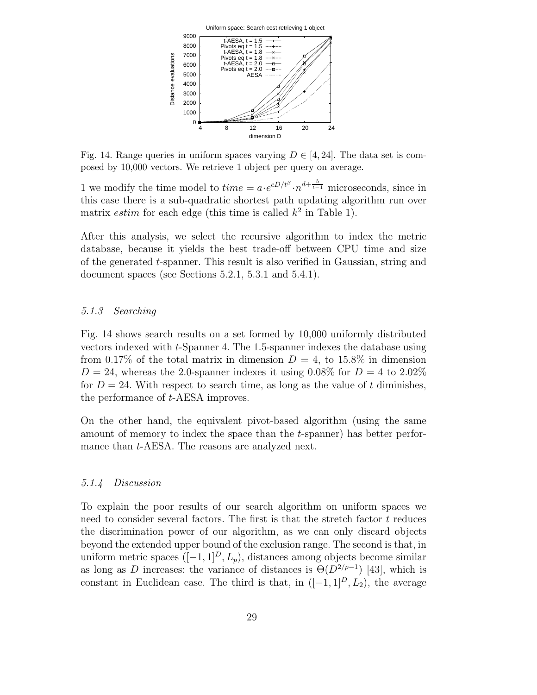



Fig. 14. Range queries in uniform spaces varying  $D \in [4, 24]$ . The data set is composed by 10,000 vectors. We retrieve 1 object per query on average.

1 we modify the time model to  $time = a \cdot e^{cD/t^{\beta}} \cdot n^{d + \frac{b}{t-1}}$  microseconds, since in this case there is a sub-quadratic shortest path updating algorithm run over matrix *estim* for each edge (this time is called  $k^2$  in Table 1).

After this analysis, we select the recursive algorithm to index the metric database, because it yields the best trade-off between CPU time and size of the generated t-spanner. This result is also verified in Gaussian, string and document spaces (see Sections 5.2.1, 5.3.1 and 5.4.1).

## 5.1.3 Searching

Fig. 14 shows search results on a set formed by 10,000 uniformly distributed vectors indexed with t-Spanner 4. The 1.5-spanner indexes the database using from 0.17% of the total matrix in dimension  $D = 4$ , to 15.8% in dimension  $D = 24$ , whereas the 2.0-spanner indexes it using 0.08% for  $D = 4$  to 2.02% for  $D = 24$ . With respect to search time, as long as the value of t diminishes, the performance of t-AESA improves.

On the other hand, the equivalent pivot-based algorithm (using the same amount of memory to index the space than the t-spanner) has better performance than t-AESA. The reasons are analyzed next.

## 5.1.4 Discussion

To explain the poor results of our search algorithm on uniform spaces we need to consider several factors. The first is that the stretch factor  $t$  reduces the discrimination power of our algorithm, as we can only discard objects beyond the extended upper bound of the exclusion range. The second is that, in uniform metric spaces  $([-1, 1]^D, L_p)$ , distances among objects become similar as long as D increases: the variance of distances is  $\Theta(D^{2/p-1})$  [43], which is constant in Euclidean case. The third is that, in  $([-1, 1]^D, L_2)$ , the average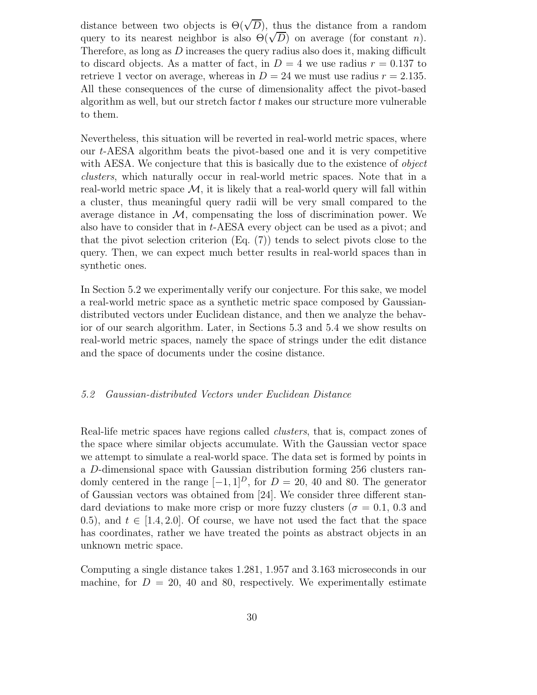distance between two objects is  $\Theta(\sqrt{D})$ , thus the distance from a random query to its nearest neighbor is also  $\Theta(\sqrt{D})$  on average (for constant *n*). Therefore, as long as D increases the query radius also does it, making difficult to discard objects. As a matter of fact, in  $D = 4$  we use radius  $r = 0.137$  to retrieve 1 vector on average, whereas in  $D = 24$  we must use radius  $r = 2.135$ . All these consequences of the curse of dimensionality affect the pivot-based algorithm as well, but our stretch factor  $t$  makes our structure more vulnerable to them.

Nevertheless, this situation will be reverted in real-world metric spaces, where our t-AESA algorithm beats the pivot-based one and it is very competitive with AESA. We conjecture that this is basically due to the existence of *object* clusters, which naturally occur in real-world metric spaces. Note that in a real-world metric space  $\mathcal{M}$ , it is likely that a real-world query will fall within a cluster, thus meaningful query radii will be very small compared to the average distance in  $\mathcal M$ , compensating the loss of discrimination power. We also have to consider that in t-AESA every object can be used as a pivot; and that the pivot selection criterion (Eq. (7)) tends to select pivots close to the query. Then, we can expect much better results in real-world spaces than in synthetic ones.

In Section 5.2 we experimentally verify our conjecture. For this sake, we model a real-world metric space as a synthetic metric space composed by Gaussiandistributed vectors under Euclidean distance, and then we analyze the behavior of our search algorithm. Later, in Sections 5.3 and 5.4 we show results on real-world metric spaces, namely the space of strings under the edit distance and the space of documents under the cosine distance.

## 5.2 Gaussian-distributed Vectors under Euclidean Distance

Real-life metric spaces have regions called *clusters*, that is, compact zones of the space where similar objects accumulate. With the Gaussian vector space we attempt to simulate a real-world space. The data set is formed by points in a D-dimensional space with Gaussian distribution forming 256 clusters randomly centered in the range  $[-1, 1]^D$ , for  $D = 20$ , 40 and 80. The generator of Gaussian vectors was obtained from [24]. We consider three different standard deviations to make more crisp or more fuzzy clusters ( $\sigma = 0.1, 0.3$  and 0.5), and  $t \in [1.4, 2.0]$ . Of course, we have not used the fact that the space has coordinates, rather we have treated the points as abstract objects in an unknown metric space.

Computing a single distance takes 1.281, 1.957 and 3.163 microseconds in our machine, for  $D = 20, 40$  and 80, respectively. We experimentally estimate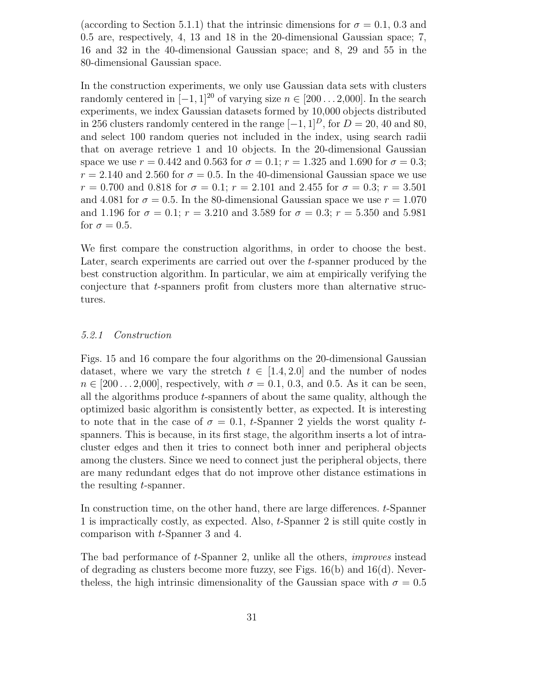(according to Section 5.1.1) that the intrinsic dimensions for  $\sigma = 0.1, 0.3$  and 0.5 are, respectively, 4, 13 and 18 in the 20-dimensional Gaussian space; 7, 16 and 32 in the 40-dimensional Gaussian space; and 8, 29 and 55 in the 80-dimensional Gaussian space.

In the construction experiments, we only use Gaussian data sets with clusters randomly centered in  $[-1, 1]^{20}$  of varying size  $n \in [200 \dots 2,000]$ . In the search experiments, we index Gaussian datasets formed by 10,000 objects distributed in 256 clusters randomly centered in the range  $[-1, 1]^D$ , for  $D = 20, 40$  and 80, and select 100 random queries not included in the index, using search radii that on average retrieve 1 and 10 objects. In the 20-dimensional Gaussian space we use  $r = 0.442$  and 0.563 for  $\sigma = 0.1$ ;  $r = 1.325$  and 1.690 for  $\sigma = 0.3$ ;  $r = 2.140$  and 2.560 for  $\sigma = 0.5$ . In the 40-dimensional Gaussian space we use  $r = 0.700$  and 0.818 for  $\sigma = 0.1$ ;  $r = 2.101$  and 2.455 for  $\sigma = 0.3$ ;  $r = 3.501$ and 4.081 for  $\sigma = 0.5$ . In the 80-dimensional Gaussian space we use  $r = 1.070$ and 1.196 for  $\sigma = 0.1$ ;  $r = 3.210$  and 3.589 for  $\sigma = 0.3$ ;  $r = 5.350$  and 5.981 for  $\sigma = 0.5$ .

We first compare the construction algorithms, in order to choose the best. Later, search experiments are carried out over the t-spanner produced by the best construction algorithm. In particular, we aim at empirically verifying the conjecture that t-spanners profit from clusters more than alternative structures.

## 5.2.1 Construction

Figs. 15 and 16 compare the four algorithms on the 20-dimensional Gaussian dataset, where we vary the stretch  $t \in [1.4, 2.0]$  and the number of nodes  $n \in [200 \ldots 2,000]$ , respectively, with  $\sigma = 0.1, 0.3$ , and 0.5. As it can be seen, all the algorithms produce  $t$ -spanners of about the same quality, although the optimized basic algorithm is consistently better, as expected. It is interesting to note that in the case of  $\sigma = 0.1$ , t-Spanner 2 yields the worst quality tspanners. This is because, in its first stage, the algorithm inserts a lot of intracluster edges and then it tries to connect both inner and peripheral objects among the clusters. Since we need to connect just the peripheral objects, there are many redundant edges that do not improve other distance estimations in the resulting *t*-spanner.

In construction time, on the other hand, there are large differences. t-Spanner 1 is impractically costly, as expected. Also, t-Spanner 2 is still quite costly in comparison with t-Spanner 3 and 4.

The bad performance of t-Spanner 2, unlike all the others, *improves* instead of degrading as clusters become more fuzzy, see Figs.  $16(b)$  and  $16(d)$ . Neverthe the high intrinsic dimensionality of the Gaussian space with  $\sigma = 0.5$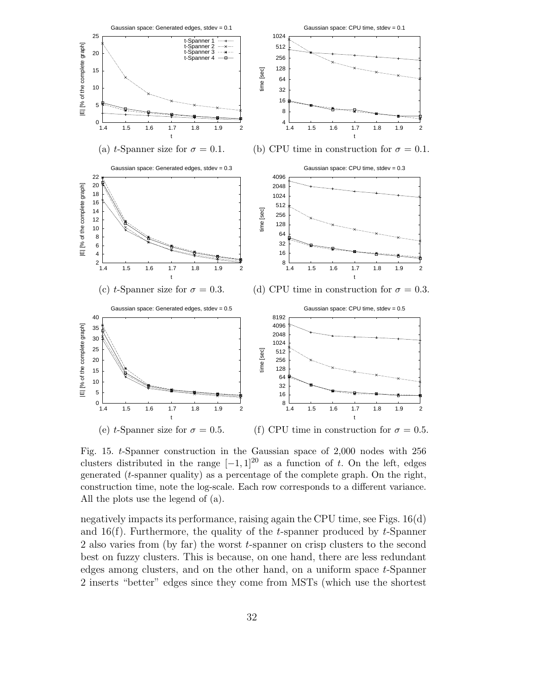

Fig. 15. t-Spanner construction in the Gaussian space of 2,000 nodes with 256 clusters distributed in the range  $[-1, 1]^{20}$  as a function of t. On the left, edges generated  $(t$ -spanner quality) as a percentage of the complete graph. On the right, construction time, note the log-scale. Each row corresponds to a different variance. All the plots use the legend of (a).

negatively impacts its performance, raising again the CPU time, see Figs. 16(d) and  $16(f)$ . Furthermore, the quality of the t-spanner produced by t-Spanner 2 also varies from (by far) the worst t-spanner on crisp clusters to the second best on fuzzy clusters. This is because, on one hand, there are less redundant edges among clusters, and on the other hand, on a uniform space t-Spanner 2 inserts "better" edges since they come from MSTs (which use the shortest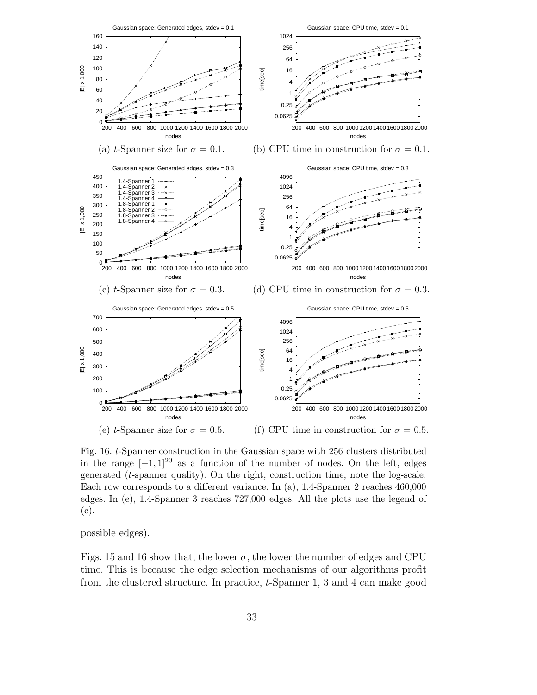

Fig. 16. t-Spanner construction in the Gaussian space with 256 clusters distributed in the range  $[-1, 1]^{20}$  as a function of the number of nodes. On the left, edges generated (t-spanner quality). On the right, construction time, note the log-scale. Each row corresponds to a different variance. In (a), 1.4-Spanner 2 reaches 460,000 edges. In (e), 1.4-Spanner 3 reaches 727,000 edges. All the plots use the legend of (c).

possible edges).

Figs. 15 and 16 show that, the lower  $\sigma$ , the lower the number of edges and CPU time. This is because the edge selection mechanisms of our algorithms profit from the clustered structure. In practice, t-Spanner 1, 3 and 4 can make good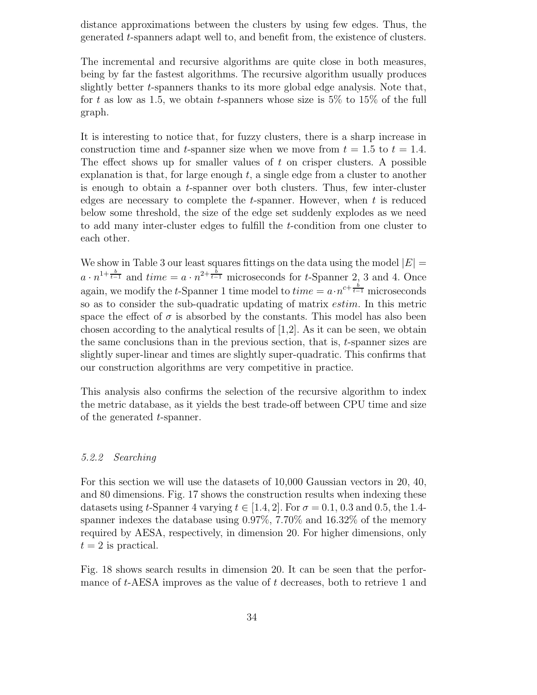distance approximations between the clusters by using few edges. Thus, the generated t-spanners adapt well to, and benefit from, the existence of clusters.

The incremental and recursive algorithms are quite close in both measures, being by far the fastest algorithms. The recursive algorithm usually produces slightly better t-spanners thanks to its more global edge analysis. Note that, for t as low as 1.5, we obtain t-spanners whose size is  $5\%$  to  $15\%$  of the full graph.

It is interesting to notice that, for fuzzy clusters, there is a sharp increase in construction time and t-spanner size when we move from  $t = 1.5$  to  $t = 1.4$ . The effect shows up for smaller values of  $t$  on crisper clusters. A possible explanation is that, for large enough  $t$ , a single edge from a cluster to another is enough to obtain a t-spanner over both clusters. Thus, few inter-cluster edges are necessary to complete the  $t$ -spanner. However, when  $t$  is reduced below some threshold, the size of the edge set suddenly explodes as we need to add many inter-cluster edges to fulfill the t-condition from one cluster to each other.

We show in Table 3 our least squares fittings on the data using the model  $|E|$  =  $a \cdot n^{1+\frac{b}{t-1}}$  and  $time = a \cdot n^{2+\frac{b}{t-1}}$  microseconds for t-Spanner 2, 3 and 4. Once again, we modify the *t*-Spanner 1 time model to  $time = a \cdot n^{c + \frac{b}{t-1}}$  microseconds so as to consider the sub-quadratic updating of matrix estim. In this metric space the effect of  $\sigma$  is absorbed by the constants. This model has also been chosen according to the analytical results of  $[1,2]$ . As it can be seen, we obtain the same conclusions than in the previous section, that is, t-spanner sizes are slightly super-linear and times are slightly super-quadratic. This confirms that our construction algorithms are very competitive in practice.

This analysis also confirms the selection of the recursive algorithm to index the metric database, as it yields the best trade-off between CPU time and size of the generated t-spanner.

#### 5.2.2 Searching

For this section we will use the datasets of 10,000 Gaussian vectors in 20, 40, and 80 dimensions. Fig. 17 shows the construction results when indexing these datasets using t-Spanner 4 varying  $t \in [1.4, 2]$ . For  $\sigma = 0.1, 0.3$  and 0.5, the 1.4spanner indexes the database using 0.97%, 7.70% and 16.32% of the memory required by AESA, respectively, in dimension 20. For higher dimensions, only  $t = 2$  is practical.

Fig. 18 shows search results in dimension 20. It can be seen that the performance of  $t$ -AESA improves as the value of  $t$  decreases, both to retrieve 1 and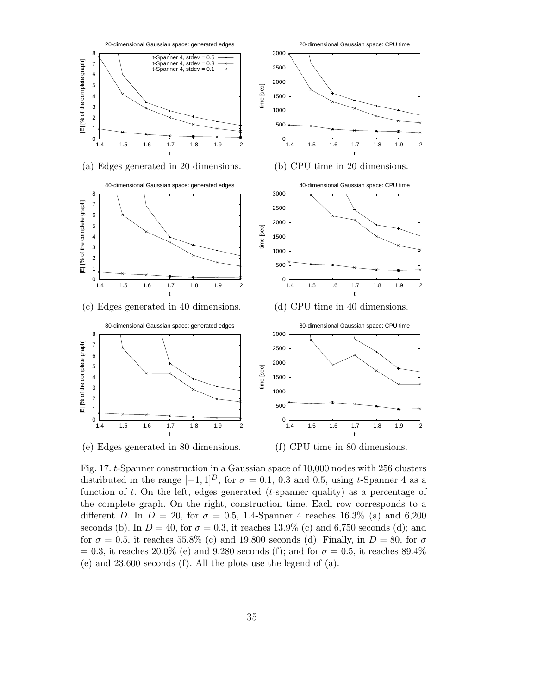

Fig. 17. t-Spanner construction in a Gaussian space of 10,000 nodes with 256 clusters distributed in the range  $[-1, 1]^D$ , for  $\sigma = 0.1$ , 0.3 and 0.5, using t-Spanner 4 as a function of  $t$ . On the left, edges generated ( $t$ -spanner quality) as a percentage of the complete graph. On the right, construction time. Each row corresponds to a different D. In  $D = 20$ , for  $\sigma = 0.5$ , 1.4-Spanner 4 reaches 16.3% (a) and 6,200 seconds (b). In  $D = 40$ , for  $\sigma = 0.3$ , it reaches 13.9% (c) and 6,750 seconds (d); and for  $\sigma = 0.5$ , it reaches 55.8% (c) and 19,800 seconds (d). Finally, in  $D = 80$ , for  $\sigma$  $= 0.3$ , it reaches 20.0% (e) and 9,280 seconds (f); and for  $\sigma = 0.5$ , it reaches 89.4% (e) and 23,600 seconds (f). All the plots use the legend of (a).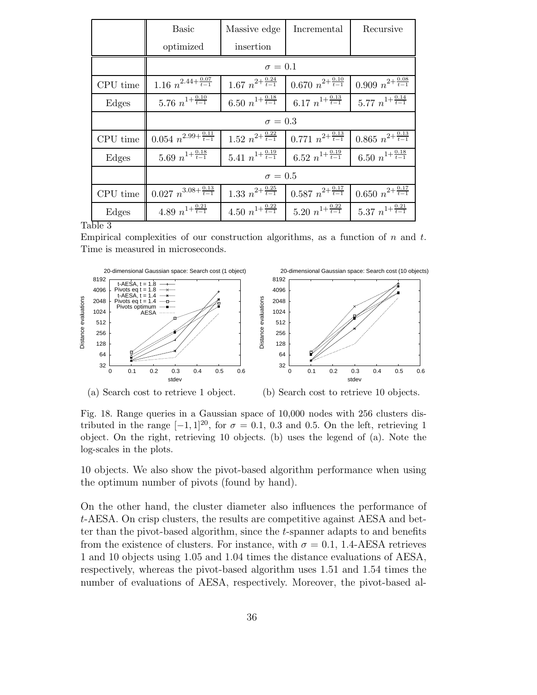|          | <b>Basic</b>                      | Massive edge                  | Incremental                                                 | Recursive                      |
|----------|-----------------------------------|-------------------------------|-------------------------------------------------------------|--------------------------------|
|          | optimized                         | insertion                     |                                                             |                                |
|          | $\sigma = 0.1$                    |                               |                                                             |                                |
| CPU time | 1.16 $n^{2.44+\frac{0.07}{t-1}}$  | 1.67 $n^{2+\frac{0.24}{t-1}}$ | 0.670 $n^{2+\frac{0.10}{t-1}}$                              | 0.909 $n^{2+\frac{0.08}{t-1}}$ |
| Edges    | 5.76 $n^{1+\frac{0.10}{t-1}}$     |                               | 6.50 $n^{1+\frac{0.18}{t-1}}$ 6.17 $n^{1+\frac{0.13}{t-1}}$ | 5.77 $n^{1+\frac{0.14}{t-1}}$  |
|          | $\sigma = 0.3$                    |                               |                                                             |                                |
| CPU time | $0.054 n^{2.99+\frac{0.11}{t-1}}$ | $1.52 n^{2+\frac{0.22}{t-1}}$ | $\left(0.771\right) n^{2+\frac{0.13}{t-1}}$                 | $0.865 n^{2+\frac{0.13}{t-1}}$ |
| Edges    | 5.69 $n^{1+\frac{0.18}{t-1}}$     |                               | 5.41 $n^{1+\frac{0.19}{t-1}}$ 6.52 $n^{1+\frac{0.19}{t-1}}$ | 6.50 $n^{1+\frac{0.18}{t-1}}$  |
|          | $\sigma = 0.5$                    |                               |                                                             |                                |
| CPU time | $0.027 n^{3.08+\frac{0.13}{t-1}}$ | 1.33 $n^{2+\frac{0.25}{t-1}}$ | $\left  0.587 \right  n^{2+\frac{0.17}{t-1}}$               | $0.650 n^{2+\frac{0.17}{t-1}}$ |
| Edges    | 4.89 $n^{1+\frac{0.21}{t-1}}$     |                               | 4.50 $n^{1+\frac{0.22}{t-1}}$ 5.20 $n^{1+\frac{0.22}{t-1}}$ | 5.37 $n^{1+\frac{0.21}{t-1}}$  |

#### Table 3

Empirical complexities of our construction algorithms, as a function of  $n$  and  $t$ . Time is measured in microseconds.



Fig. 18. Range queries in a Gaussian space of 10,000 nodes with 256 clusters distributed in the range  $[-1, 1]^{20}$ , for  $\sigma = 0.1$ , 0.3 and 0.5. On the left, retrieving 1 object. On the right, retrieving 10 objects. (b) uses the legend of (a). Note the log-scales in the plots.

10 objects. We also show the pivot-based algorithm performance when using the optimum number of pivots (found by hand).

On the other hand, the cluster diameter also influences the performance of t-AESA. On crisp clusters, the results are competitive against AESA and better than the pivot-based algorithm, since the t-spanner adapts to and benefits from the existence of clusters. For instance, with  $\sigma = 0.1$ , 1.4-AESA retrieves 1 and 10 objects using 1.05 and 1.04 times the distance evaluations of AESA, respectively, whereas the pivot-based algorithm uses 1.51 and 1.54 times the number of evaluations of AESA, respectively. Moreover, the pivot-based al-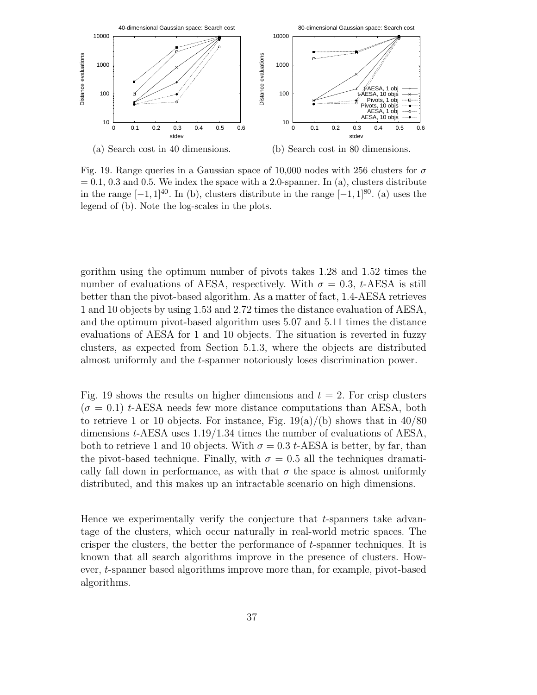

Fig. 19. Range queries in a Gaussian space of 10,000 nodes with 256 clusters for  $\sigma$  $= 0.1, 0.3$  and 0.5. We index the space with a 2.0-spanner. In (a), clusters distribute in the range  $[-1, 1]^{40}$ . In (b), clusters distribute in the range  $[-1, 1]^{80}$ . (a) uses the legend of (b). Note the log-scales in the plots.

gorithm using the optimum number of pivots takes 1.28 and 1.52 times the number of evaluations of AESA, respectively. With  $\sigma = 0.3$ , t-AESA is still better than the pivot-based algorithm. As a matter of fact, 1.4-AESA retrieves 1 and 10 objects by using 1.53 and 2.72 times the distance evaluation of AESA, and the optimum pivot-based algorithm uses 5.07 and 5.11 times the distance evaluations of AESA for 1 and 10 objects. The situation is reverted in fuzzy clusters, as expected from Section 5.1.3, where the objects are distributed almost uniformly and the t-spanner notoriously loses discrimination power.

Fig. 19 shows the results on higher dimensions and  $t = 2$ . For crisp clusters  $(\sigma = 0.1)$  t-AESA needs few more distance computations than AESA, both to retrieve 1 or 10 objects. For instance, Fig.  $19(a)/(b)$  shows that in  $40/80$ dimensions t-AESA uses 1.19/1.34 times the number of evaluations of AESA, both to retrieve 1 and 10 objects. With  $\sigma = 0.3$  t-AESA is better, by far, than the pivot-based technique. Finally, with  $\sigma = 0.5$  all the techniques dramatically fall down in performance, as with that  $\sigma$  the space is almost uniformly distributed, and this makes up an intractable scenario on high dimensions.

Hence we experimentally verify the conjecture that  $t$ -spanners take advantage of the clusters, which occur naturally in real-world metric spaces. The crisper the clusters, the better the performance of  $t$ -spanner techniques. It is known that all search algorithms improve in the presence of clusters. However, t-spanner based algorithms improve more than, for example, pivot-based algorithms.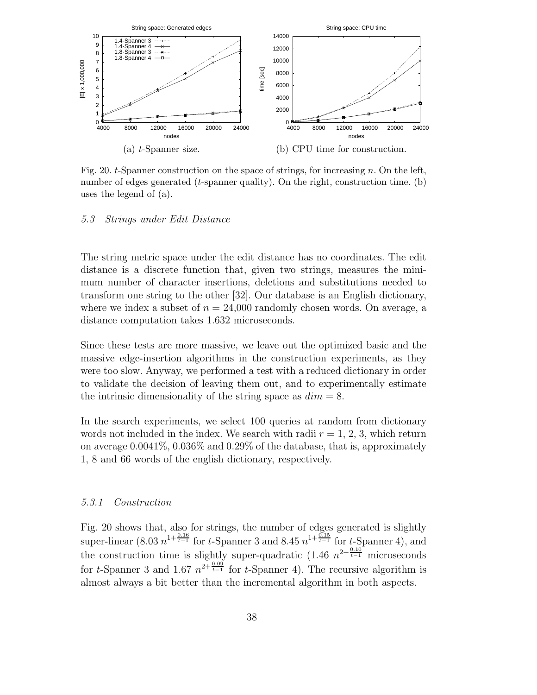

Fig. 20. t-Spanner construction on the space of strings, for increasing n. On the left, number of edges generated ( $t$ -spanner quality). On the right, construction time. (b) uses the legend of (a).

## 5.3 Strings under Edit Distance

The string metric space under the edit distance has no coordinates. The edit distance is a discrete function that, given two strings, measures the minimum number of character insertions, deletions and substitutions needed to transform one string to the other [32]. Our database is an English dictionary, where we index a subset of  $n = 24,000$  randomly chosen words. On average, a distance computation takes 1.632 microseconds.

Since these tests are more massive, we leave out the optimized basic and the massive edge-insertion algorithms in the construction experiments, as they were too slow. Anyway, we performed a test with a reduced dictionary in order to validate the decision of leaving them out, and to experimentally estimate the intrinsic dimensionality of the string space as  $dim = 8$ .

In the search experiments, we select 100 queries at random from dictionary words not included in the index. We search with radii  $r = 1, 2, 3$ , which return on average 0.0041%, 0.036% and 0.29% of the database, that is, approximately 1, 8 and 66 words of the english dictionary, respectively.

## 5.3.1 Construction

Fig. 20 shows that, also for strings, the number of edges generated is slightly super-linear  $(8.03 n^{1+\frac{0.16}{t-1}}$  for t-Spanner 3 and  $8.45 n^{1+\frac{0.15}{t-1}}$  for t-Spanner 4), and the construction time is slightly super-quadratic  $(1.46 n^{2+\frac{0.10}{t-1}})$  microseconds for t-Spanner 3 and 1.67  $n^{2+\frac{0.09}{t-1}}$  for t-Spanner 4). The recursive algorithm is almost always a bit better than the incremental algorithm in both aspects.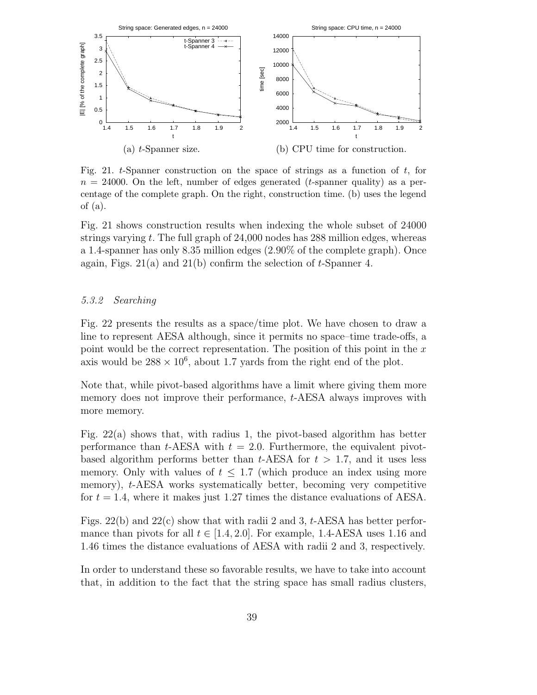

Fig. 21. t-Spanner construction on the space of strings as a function of t, for  $n = 24000$ . On the left, number of edges generated (*t*-spanner quality) as a percentage of the complete graph. On the right, construction time. (b) uses the legend of (a).

Fig. 21 shows construction results when indexing the whole subset of 24000 strings varying  $t$ . The full graph of 24,000 nodes has 288 million edges, whereas a 1.4-spanner has only 8.35 million edges (2.90% of the complete graph). Once again, Figs.  $21(a)$  and  $21(b)$  confirm the selection of t-Spanner 4.

## 5.3.2 Searching

Fig. 22 presents the results as a space/time plot. We have chosen to draw a line to represent AESA although, since it permits no space–time trade-offs, a point would be the correct representation. The position of this point in the  $x$ axis would be  $288 \times 10^6$ , about 1.7 yards from the right end of the plot.

Note that, while pivot-based algorithms have a limit where giving them more memory does not improve their performance, t-AESA always improves with more memory.

Fig. 22(a) shows that, with radius 1, the pivot-based algorithm has better performance than t-AESA with  $t = 2.0$ . Furthermore, the equivalent pivotbased algorithm performs better than t-AESA for  $t > 1.7$ , and it uses less memory. Only with values of  $t \leq 1.7$  (which produce an index using more memory), t-AESA works systematically better, becoming very competitive for  $t = 1.4$ , where it makes just 1.27 times the distance evaluations of AESA.

Figs.  $22(b)$  and  $22(c)$  show that with radii 2 and 3, t-AESA has better performance than pivots for all  $t \in [1.4, 2.0]$ . For example, 1.4-AESA uses 1.16 and 1.46 times the distance evaluations of AESA with radii 2 and 3, respectively.

In order to understand these so favorable results, we have to take into account that, in addition to the fact that the string space has small radius clusters,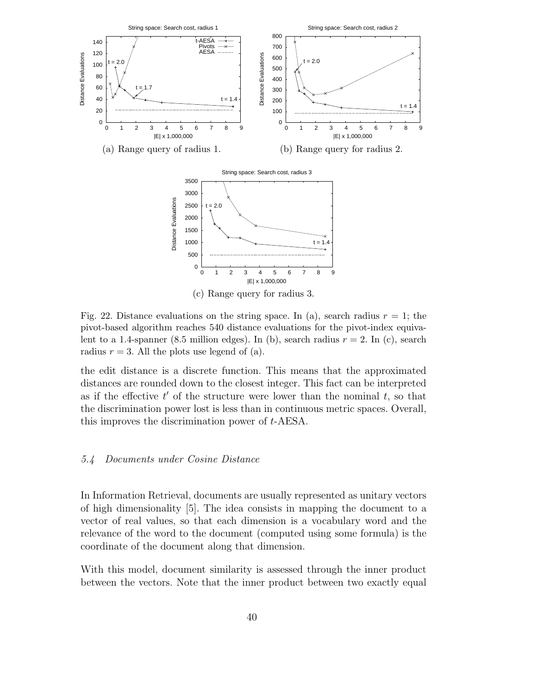

Fig. 22. Distance evaluations on the string space. In (a), search radius  $r = 1$ ; the pivot-based algorithm reaches 540 distance evaluations for the pivot-index equivalent to a 1.4-spanner (8.5 million edges). In (b), search radius  $r = 2$ . In (c), search radius  $r = 3$ . All the plots use legend of (a).

the edit distance is a discrete function. This means that the approximated distances are rounded down to the closest integer. This fact can be interpreted as if the effective  $t'$  of the structure were lower than the nominal  $t$ , so that the discrimination power lost is less than in continuous metric spaces. Overall, this improves the discrimination power of t-AESA.

## 5.4 Documents under Cosine Distance

In Information Retrieval, documents are usually represented as unitary vectors of high dimensionality [5]. The idea consists in mapping the document to a vector of real values, so that each dimension is a vocabulary word and the relevance of the word to the document (computed using some formula) is the coordinate of the document along that dimension.

With this model, document similarity is assessed through the inner product between the vectors. Note that the inner product between two exactly equal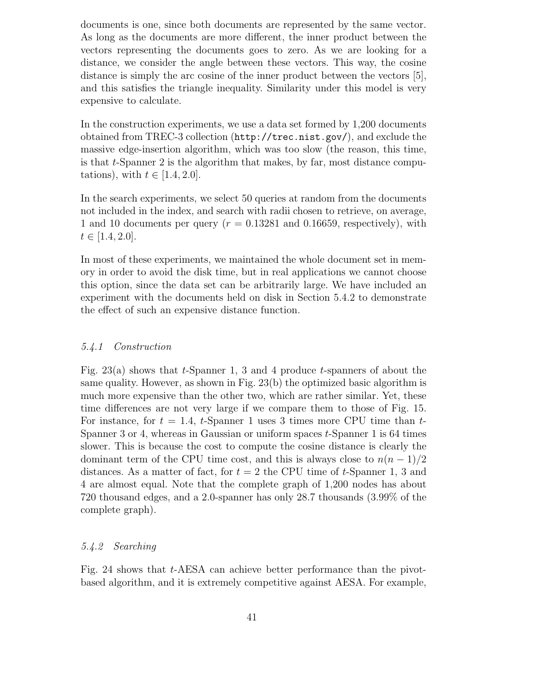documents is one, since both documents are represented by the same vector. As long as the documents are more different, the inner product between the vectors representing the documents goes to zero. As we are looking for a distance, we consider the angle between these vectors. This way, the cosine distance is simply the arc cosine of the inner product between the vectors [5], and this satisfies the triangle inequality. Similarity under this model is very expensive to calculate.

In the construction experiments, we use a data set formed by 1,200 documents obtained from TREC-3 collection (http://trec.nist.gov/), and exclude the massive edge-insertion algorithm, which was too slow (the reason, this time, is that t-Spanner 2 is the algorithm that makes, by far, most distance computations), with  $t \in [1.4, 2.0]$ .

In the search experiments, we select 50 queries at random from the documents not included in the index, and search with radii chosen to retrieve, on average, 1 and 10 documents per query  $(r = 0.13281$  and 0.16659, respectively), with  $t \in [1.4, 2.0].$ 

In most of these experiments, we maintained the whole document set in memory in order to avoid the disk time, but in real applications we cannot choose this option, since the data set can be arbitrarily large. We have included an experiment with the documents held on disk in Section 5.4.2 to demonstrate the effect of such an expensive distance function.

## 5.4.1 Construction

Fig. 23(a) shows that t-Spanner 1, 3 and 4 produce t-spanners of about the same quality. However, as shown in Fig. 23(b) the optimized basic algorithm is much more expensive than the other two, which are rather similar. Yet, these time differences are not very large if we compare them to those of Fig. 15. For instance, for  $t = 1.4$ , t-Spanner 1 uses 3 times more CPU time than t-Spanner 3 or 4, whereas in Gaussian or uniform spaces  $t$ -Spanner 1 is 64 times slower. This is because the cost to compute the cosine distance is clearly the dominant term of the CPU time cost, and this is always close to  $n(n-1)/2$ distances. As a matter of fact, for  $t = 2$  the CPU time of t-Spanner 1, 3 and 4 are almost equal. Note that the complete graph of 1,200 nodes has about 720 thousand edges, and a 2.0-spanner has only 28.7 thousands (3.99% of the complete graph).

#### 5.4.2 Searching

Fig. 24 shows that t-AESA can achieve better performance than the pivotbased algorithm, and it is extremely competitive against AESA. For example,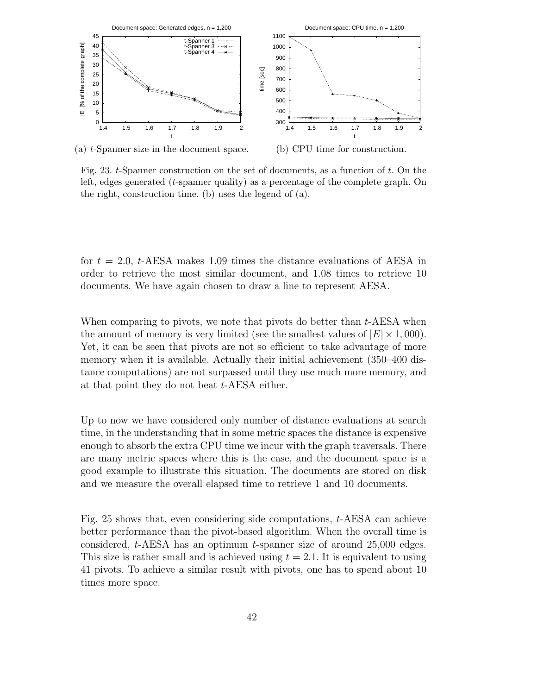

Fig. 23. t-Spanner construction on the set of documents, as a function of t. On the left, edges generated (t-spanner quality) as a percentage of the complete graph. On the right, construction time. (b) uses the legend of (a).

for  $t = 2.0$ ,  $t$ -AESA makes 1.09 times the distance evaluations of AESA in order to retrieve the most similar document, and 1.08 times to retrieve 10 documents. We have again chosen to draw a line to represent AESA.

When comparing to pivots, we note that pivots do better than t-AESA when the amount of memory is very limited (see the smallest values of  $|E| \times 1,000$ ). Yet, it can be seen that pivots are not so efficient to take advantage of more memory when it is available. Actually their initial achievement (350–400 distance computations) are not surpassed until they use much more memory, and at that point they do not beat t-AESA either.

Up to now we have considered only number of distance evaluations at search time, in the understanding that in some metric spaces the distance is expensive enough to absorb the extra CPU time we incur with the graph traversals. There are many metric spaces where this is the case, and the document space is a good example to illustrate this situation. The documents are stored on disk and we measure the overall elapsed time to retrieve 1 and 10 documents.

Fig. 25 shows that, even considering side computations, t-AESA can achieve better performance than the pivot-based algorithm. When the overall time is considered, t-AESA has an optimum t-spanner size of around 25,000 edges. This size is rather small and is achieved using  $t = 2.1$ . It is equivalent to using 41 pivots. To achieve a similar result with pivots, one has to spend about 10 times more space.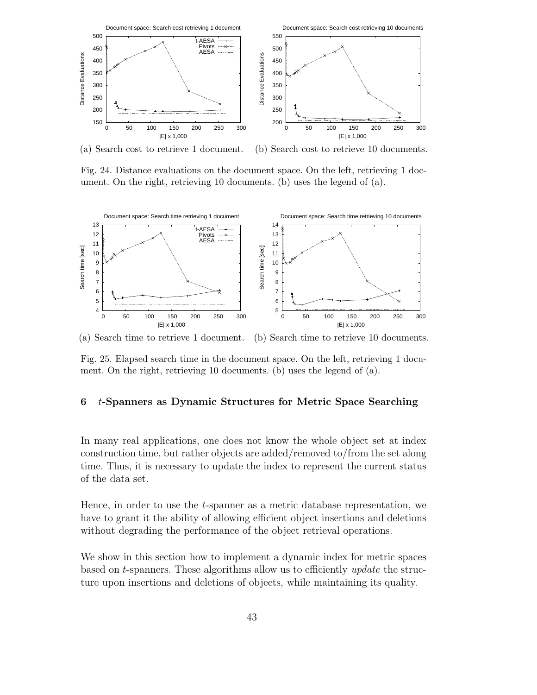

(a) Search cost to retrieve 1 document. (b) Search cost to retrieve 10 documents.

Fig. 24. Distance evaluations on the document space. On the left, retrieving 1 document. On the right, retrieving 10 documents. (b) uses the legend of (a).



(a) Search time to retrieve 1 document. (b) Search time to retrieve 10 documents.

Fig. 25. Elapsed search time in the document space. On the left, retrieving 1 document. On the right, retrieving 10 documents. (b) uses the legend of (a).

## 6 t-Spanners as Dynamic Structures for Metric Space Searching

In many real applications, one does not know the whole object set at index construction time, but rather objects are added/removed to/from the set along time. Thus, it is necessary to update the index to represent the current status of the data set.

Hence, in order to use the t-spanner as a metric database representation, we have to grant it the ability of allowing efficient object insertions and deletions without degrading the performance of the object retrieval operations.

We show in this section how to implement a dynamic index for metric spaces based on t-spanners. These algorithms allow us to efficiently update the structure upon insertions and deletions of objects, while maintaining its quality.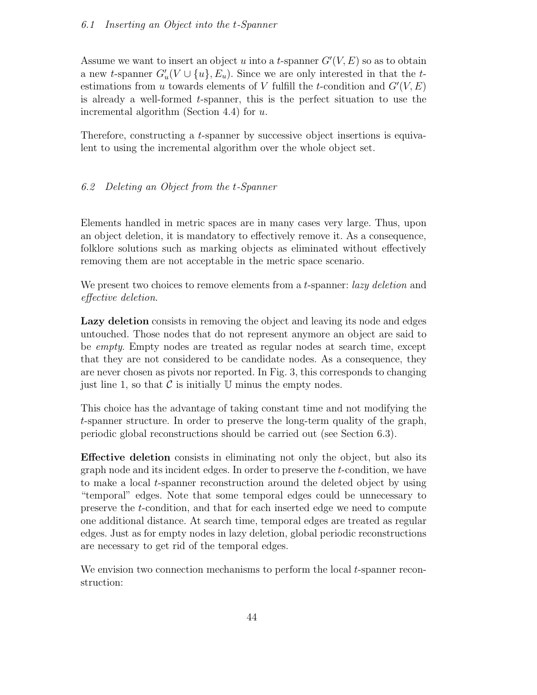Assume we want to insert an object u into a t-spanner  $G'(V, E)$  so as to obtain a new t-spanner  $G'_u(V \cup \{u\}, E_u)$ . Since we are only interested in that the testimations from u towards elements of V fulfill the t-condition and  $G'(V, E)$ is already a well-formed t-spanner, this is the perfect situation to use the incremental algorithm (Section 4.4) for u.

Therefore, constructing a t-spanner by successive object insertions is equivalent to using the incremental algorithm over the whole object set.

# 6.2 Deleting an Object from the t-Spanner

Elements handled in metric spaces are in many cases very large. Thus, upon an object deletion, it is mandatory to effectively remove it. As a consequence, folklore solutions such as marking objects as eliminated without effectively removing them are not acceptable in the metric space scenario.

We present two choices to remove elements from a t-spanner: *lazy deletion* and effective deletion.

Lazy deletion consists in removing the object and leaving its node and edges untouched. Those nodes that do not represent anymore an object are said to be empty. Empty nodes are treated as regular nodes at search time, except that they are not considered to be candidate nodes. As a consequence, they are never chosen as pivots nor reported. In Fig. 3, this corresponds to changing just line 1, so that  $\mathcal C$  is initially  $\mathbb U$  minus the empty nodes.

This choice has the advantage of taking constant time and not modifying the t-spanner structure. In order to preserve the long-term quality of the graph, periodic global reconstructions should be carried out (see Section 6.3).

Effective deletion consists in eliminating not only the object, but also its graph node and its incident edges. In order to preserve the t-condition, we have to make a local t-spanner reconstruction around the deleted object by using "temporal" edges. Note that some temporal edges could be unnecessary to preserve the t-condition, and that for each inserted edge we need to compute one additional distance. At search time, temporal edges are treated as regular edges. Just as for empty nodes in lazy deletion, global periodic reconstructions are necessary to get rid of the temporal edges.

We envision two connection mechanisms to perform the local t-spanner reconstruction: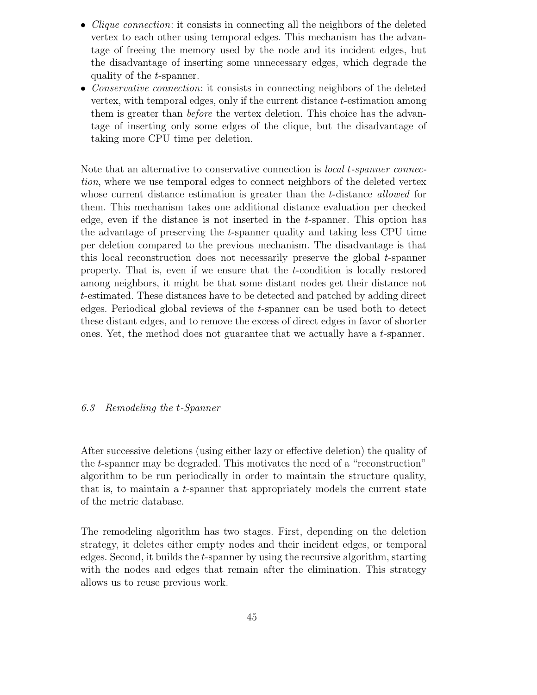- *Clique connection*: it consists in connecting all the neighbors of the deleted vertex to each other using temporal edges. This mechanism has the advantage of freeing the memory used by the node and its incident edges, but the disadvantage of inserting some unnecessary edges, which degrade the quality of the t-spanner.
- Conservative connection: it consists in connecting neighbors of the deleted vertex, with temporal edges, only if the current distance  $t$ -estimation among them is greater than before the vertex deletion. This choice has the advantage of inserting only some edges of the clique, but the disadvantage of taking more CPU time per deletion.

Note that an alternative to conservative connection is *local t-spanner connec*tion, where we use temporal edges to connect neighbors of the deleted vertex whose current distance estimation is greater than the t-distance allowed for them. This mechanism takes one additional distance evaluation per checked edge, even if the distance is not inserted in the t-spanner. This option has the advantage of preserving the t-spanner quality and taking less CPU time per deletion compared to the previous mechanism. The disadvantage is that this local reconstruction does not necessarily preserve the global t-spanner property. That is, even if we ensure that the t-condition is locally restored among neighbors, it might be that some distant nodes get their distance not t-estimated. These distances have to be detected and patched by adding direct edges. Periodical global reviews of the t-spanner can be used both to detect these distant edges, and to remove the excess of direct edges in favor of shorter ones. Yet, the method does not guarantee that we actually have a t-spanner.

## 6.3 Remodeling the t-Spanner

After successive deletions (using either lazy or effective deletion) the quality of the t-spanner may be degraded. This motivates the need of a "reconstruction" algorithm to be run periodically in order to maintain the structure quality, that is, to maintain a t-spanner that appropriately models the current state of the metric database.

The remodeling algorithm has two stages. First, depending on the deletion strategy, it deletes either empty nodes and their incident edges, or temporal edges. Second, it builds the t-spanner by using the recursive algorithm, starting with the nodes and edges that remain after the elimination. This strategy allows us to reuse previous work.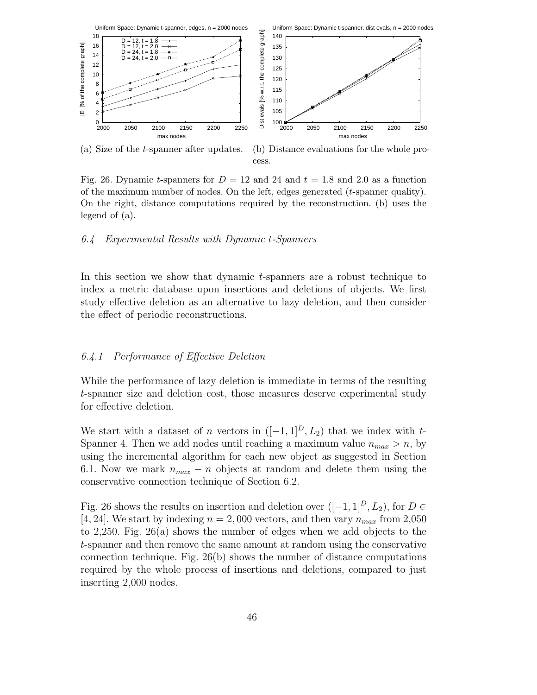

(a) Size of the t-spanner after updates.

(b) Distance evaluations for the whole process.

Fig. 26. Dynamic t-spanners for  $D = 12$  and 24 and  $t = 1.8$  and 2.0 as a function of the maximum number of nodes. On the left, edges generated  $(t$ -spanner quality). On the right, distance computations required by the reconstruction. (b) uses the legend of (a).

#### 6.4 Experimental Results with Dynamic t-Spanners

In this section we show that dynamic t-spanners are a robust technique to index a metric database upon insertions and deletions of objects. We first study effective deletion as an alternative to lazy deletion, and then consider the effect of periodic reconstructions.

## 6.4.1 Performance of Effective Deletion

While the performance of lazy deletion is immediate in terms of the resulting t-spanner size and deletion cost, those measures deserve experimental study for effective deletion.

We start with a dataset of n vectors in  $([-1, 1]^D, L_2)$  that we index with t-Spanner 4. Then we add nodes until reaching a maximum value  $n_{max} > n$ , by using the incremental algorithm for each new object as suggested in Section 6.1. Now we mark  $n_{max} - n$  objects at random and delete them using the conservative connection technique of Section 6.2.

Fig. 26 shows the results on insertion and deletion over  $([-1, 1]^D, L_2)$ , for  $D \in$ [4, 24]. We start by indexing  $n = 2,000$  vectors, and then vary  $n_{max}$  from 2,050 to 2,250. Fig. 26(a) shows the number of edges when we add objects to the t-spanner and then remove the same amount at random using the conservative connection technique. Fig.  $26(b)$  shows the number of distance computations required by the whole process of insertions and deletions, compared to just inserting 2,000 nodes.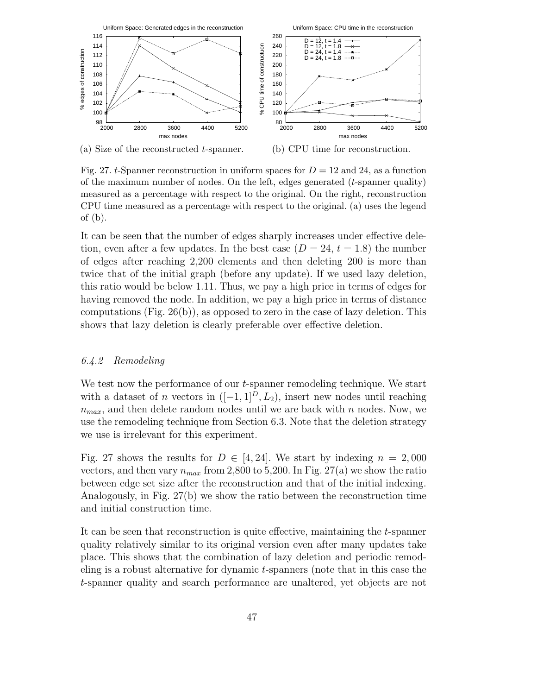

(a) Size of the reconstructed t-spanner. (b) CPU time for reconstruction.

Fig. 27. t-Spanner reconstruction in uniform spaces for  $D = 12$  and 24, as a function of the maximum number of nodes. On the left, edges generated  $(t$ -spanner quality) measured as a percentage with respect to the original. On the right, reconstruction CPU time measured as a percentage with respect to the original. (a) uses the legend of (b).

It can be seen that the number of edges sharply increases under effective deletion, even after a few updates. In the best case  $(D = 24, t = 1.8)$  the number of edges after reaching 2,200 elements and then deleting 200 is more than twice that of the initial graph (before any update). If we used lazy deletion, this ratio would be below 1.11. Thus, we pay a high price in terms of edges for having removed the node. In addition, we pay a high price in terms of distance computations (Fig.  $26(b)$ ), as opposed to zero in the case of lazy deletion. This shows that lazy deletion is clearly preferable over effective deletion.

## 6.4.2 Remodeling

We test now the performance of our t-spanner remodeling technique. We start with a dataset of n vectors in  $([-1, 1]^D, L_2)$ , insert new nodes until reaching  $n_{max}$ , and then delete random nodes until we are back with n nodes. Now, we use the remodeling technique from Section 6.3. Note that the deletion strategy we use is irrelevant for this experiment.

Fig. 27 shows the results for  $D \in [4, 24]$ . We start by indexing  $n = 2,000$ vectors, and then vary  $n_{max}$  from 2,800 to 5,200. In Fig. 27(a) we show the ratio between edge set size after the reconstruction and that of the initial indexing. Analogously, in Fig. 27(b) we show the ratio between the reconstruction time and initial construction time.

It can be seen that reconstruction is quite effective, maintaining the t-spanner quality relatively similar to its original version even after many updates take place. This shows that the combination of lazy deletion and periodic remodeling is a robust alternative for dynamic t-spanners (note that in this case the t-spanner quality and search performance are unaltered, yet objects are not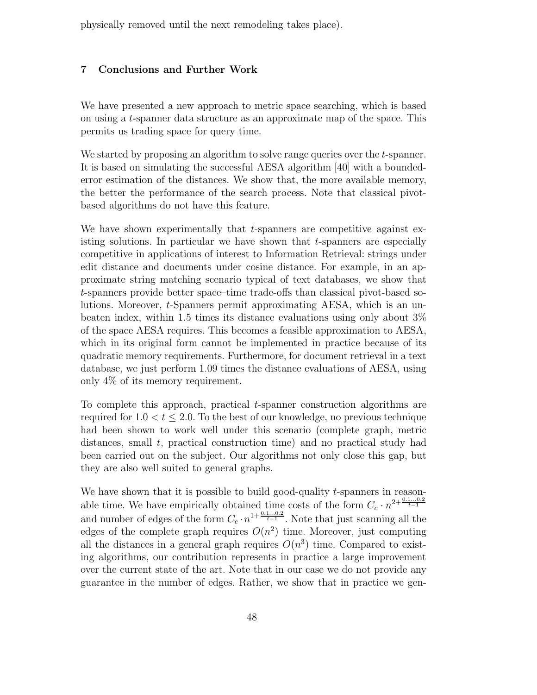physically removed until the next remodeling takes place).

## 7 Conclusions and Further Work

We have presented a new approach to metric space searching, which is based on using a t-spanner data structure as an approximate map of the space. This permits us trading space for query time.

We started by proposing an algorithm to solve range queries over the t-spanner. It is based on simulating the successful AESA algorithm [40] with a boundederror estimation of the distances. We show that, the more available memory, the better the performance of the search process. Note that classical pivotbased algorithms do not have this feature.

We have shown experimentally that  $t$ -spanners are competitive against existing solutions. In particular we have shown that t-spanners are especially competitive in applications of interest to Information Retrieval: strings under edit distance and documents under cosine distance. For example, in an approximate string matching scenario typical of text databases, we show that t-spanners provide better space–time trade-offs than classical pivot-based solutions. Moreover, t-Spanners permit approximating AESA, which is an unbeaten index, within 1.5 times its distance evaluations using only about 3% of the space AESA requires. This becomes a feasible approximation to AESA, which in its original form cannot be implemented in practice because of its quadratic memory requirements. Furthermore, for document retrieval in a text database, we just perform 1.09 times the distance evaluations of AESA, using only 4% of its memory requirement.

To complete this approach, practical t-spanner construction algorithms are required for  $1.0 < t \leq 2.0$ . To the best of our knowledge, no previous technique had been shown to work well under this scenario (complete graph, metric distances, small  $t$ , practical construction time) and no practical study had been carried out on the subject. Our algorithms not only close this gap, but they are also well suited to general graphs.

We have shown that it is possible to build good-quality  $t$ -spanners in reasonable time. We have empirically obtained time costs of the form  $C_c \cdot n^{2 + \frac{0.1...0.2}{t-1}}$ and number of edges of the form  $C_e \cdot n^{1 + \frac{0.1...0.2}{t-1}}$ . Note that just scanning all the edges of the complete graph requires  $O(n^2)$  time. Moreover, just computing all the distances in a general graph requires  $O(n^3)$  time. Compared to existing algorithms, our contribution represents in practice a large improvement over the current state of the art. Note that in our case we do not provide any guarantee in the number of edges. Rather, we show that in practice we gen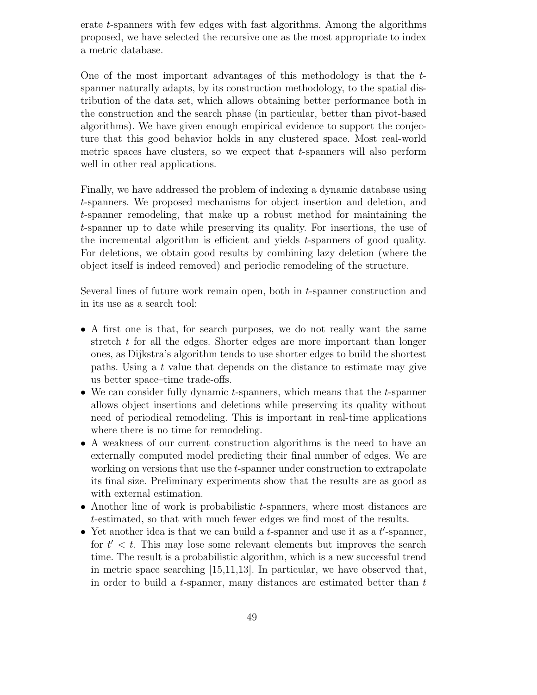erate t-spanners with few edges with fast algorithms. Among the algorithms proposed, we have selected the recursive one as the most appropriate to index a metric database.

One of the most important advantages of this methodology is that the tspanner naturally adapts, by its construction methodology, to the spatial distribution of the data set, which allows obtaining better performance both in the construction and the search phase (in particular, better than pivot-based algorithms). We have given enough empirical evidence to support the conjecture that this good behavior holds in any clustered space. Most real-world metric spaces have clusters, so we expect that t-spanners will also perform well in other real applications.

Finally, we have addressed the problem of indexing a dynamic database using t-spanners. We proposed mechanisms for object insertion and deletion, and t-spanner remodeling, that make up a robust method for maintaining the t-spanner up to date while preserving its quality. For insertions, the use of the incremental algorithm is efficient and yields t-spanners of good quality. For deletions, we obtain good results by combining lazy deletion (where the object itself is indeed removed) and periodic remodeling of the structure.

Several lines of future work remain open, both in t-spanner construction and in its use as a search tool:

- A first one is that, for search purposes, we do not really want the same stretch  $t$  for all the edges. Shorter edges are more important than longer ones, as Dijkstra's algorithm tends to use shorter edges to build the shortest paths. Using a t value that depends on the distance to estimate may give us better space–time trade-offs.
- We can consider fully dynamic  $t$ -spanners, which means that the  $t$ -spanner allows object insertions and deletions while preserving its quality without need of periodical remodeling. This is important in real-time applications where there is no time for remodeling.
- A weakness of our current construction algorithms is the need to have an externally computed model predicting their final number of edges. We are working on versions that use the t-spanner under construction to extrapolate its final size. Preliminary experiments show that the results are as good as with external estimation.
- Another line of work is probabilistic  $t$ -spanners, where most distances are t-estimated, so that with much fewer edges we find most of the results.
- Yet another idea is that we can build a *t*-spanner and use it as a  $t'$ -spanner, for  $t' < t$ . This may lose some relevant elements but improves the search time. The result is a probabilistic algorithm, which is a new successful trend in metric space searching [15,11,13]. In particular, we have observed that, in order to build a t-spanner, many distances are estimated better than  $t$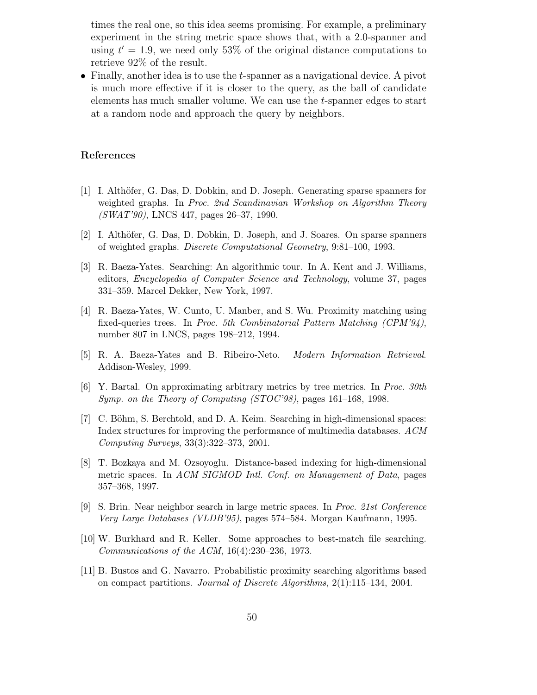times the real one, so this idea seems promising. For example, a preliminary experiment in the string metric space shows that, with a 2.0-spanner and using  $t' = 1.9$ , we need only 53% of the original distance computations to retrieve 92% of the result.

• Finally, another idea is to use the t-spanner as a navigational device. A pivot is much more effective if it is closer to the query, as the ball of candidate elements has much smaller volume. We can use the t-spanner edges to start at a random node and approach the query by neighbors.

#### References

- [1] I. Althöfer, G. Das, D. Dobkin, and D. Joseph. Generating sparse spanners for weighted graphs. In Proc. 2nd Scandinavian Workshop on Algorithm Theory (SWAT'90), LNCS 447, pages 26–37, 1990.
- [2] I. Althöfer, G. Das, D. Dobkin, D. Joseph, and J. Soares. On sparse spanners of weighted graphs. Discrete Computational Geometry, 9:81–100, 1993.
- [3] R. Baeza-Yates. Searching: An algorithmic tour. In A. Kent and J. Williams, editors, Encyclopedia of Computer Science and Technology, volume 37, pages 331–359. Marcel Dekker, New York, 1997.
- [4] R. Baeza-Yates, W. Cunto, U. Manber, and S. Wu. Proximity matching using fixed-queries trees. In Proc. 5th Combinatorial Pattern Matching (CPM'94), number 807 in LNCS, pages 198–212, 1994.
- [5] R. A. Baeza-Yates and B. Ribeiro-Neto. Modern Information Retrieval. Addison-Wesley, 1999.
- [6] Y. Bartal. On approximating arbitrary metrics by tree metrics. In Proc. 30th Symp. on the Theory of Computing (STOC'98), pages 161–168, 1998.
- [7] C. Böhm, S. Berchtold, and D. A. Keim. Searching in high-dimensional spaces: Index structures for improving the performance of multimedia databases. ACM Computing Surveys, 33(3):322–373, 2001.
- [8] T. Bozkaya and M. Ozsoyoglu. Distance-based indexing for high-dimensional metric spaces. In ACM SIGMOD Intl. Conf. on Management of Data, pages 357–368, 1997.
- [9] S. Brin. Near neighbor search in large metric spaces. In Proc. 21st Conference Very Large Databases (VLDB'95), pages 574–584. Morgan Kaufmann, 1995.
- [10] W. Burkhard and R. Keller. Some approaches to best-match file searching. Communications of the ACM, 16(4):230–236, 1973.
- [11] B. Bustos and G. Navarro. Probabilistic proximity searching algorithms based on compact partitions. Journal of Discrete Algorithms, 2(1):115–134, 2004.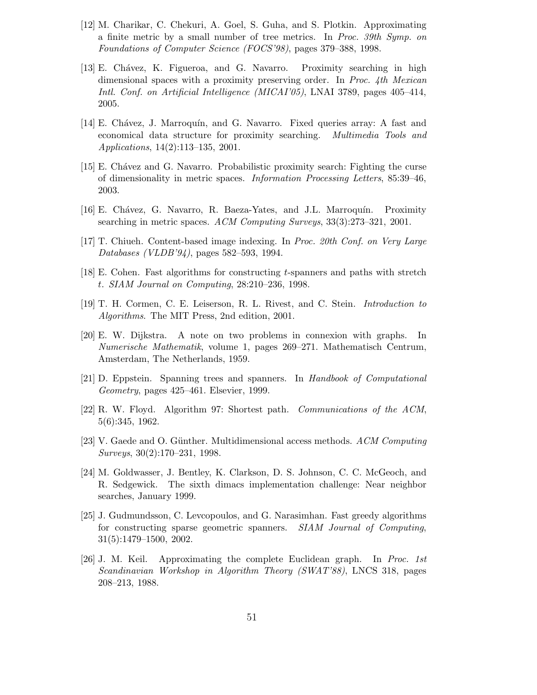- [12] M. Charikar, C. Chekuri, A. Goel, S. Guha, and S. Plotkin. Approximating a finite metric by a small number of tree metrics. In Proc. 39th Symp. on Foundations of Computer Science (FOCS'98), pages 379–388, 1998.
- [13] E. Chávez, K. Figueroa, and G. Navarro. Proximity searching in high dimensional spaces with a proximity preserving order. In Proc. 4th Mexican Intl. Conf. on Artificial Intelligence (MICAI'05), LNAI 3789, pages 405–414, 2005.
- [14] E. Chávez, J. Marroquín, and G. Navarro. Fixed queries array: A fast and economical data structure for proximity searching. Multimedia Tools and Applications, 14(2):113–135, 2001.
- [15] E. Ch´avez and G. Navarro. Probabilistic proximity search: Fighting the curse of dimensionality in metric spaces. Information Processing Letters, 85:39–46, 2003.
- [16] E. Chávez, G. Navarro, R. Baeza-Yates, and J.L. Marroquín. Proximity searching in metric spaces. ACM Computing Surveys, 33(3):273–321, 2001.
- [17] T. Chiueh. Content-based image indexing. In Proc. 20th Conf. on Very Large Databases (VLDB'94), pages 582–593, 1994.
- [18] E. Cohen. Fast algorithms for constructing t-spanners and paths with stretch t. SIAM Journal on Computing, 28:210–236, 1998.
- [19] T. H. Cormen, C. E. Leiserson, R. L. Rivest, and C. Stein. Introduction to Algorithms. The MIT Press, 2nd edition, 2001.
- [20] E. W. Dijkstra. A note on two problems in connexion with graphs. In Numerische Mathematik, volume 1, pages 269–271. Mathematisch Centrum, Amsterdam, The Netherlands, 1959.
- [21] D. Eppstein. Spanning trees and spanners. In Handbook of Computational Geometry, pages 425–461. Elsevier, 1999.
- [22] R. W. Floyd. Algorithm 97: Shortest path. Communications of the ACM, 5(6):345, 1962.
- [23] V. Gaede and O. Günther. Multidimensional access methods. ACM Computing Surveys, 30(2):170–231, 1998.
- [24] M. Goldwasser, J. Bentley, K. Clarkson, D. S. Johnson, C. C. McGeoch, and R. Sedgewick. The sixth dimacs implementation challenge: Near neighbor searches, January 1999.
- [25] J. Gudmundsson, C. Levcopoulos, and G. Narasimhan. Fast greedy algorithms for constructing sparse geometric spanners. SIAM Journal of Computing, 31(5):1479–1500, 2002.
- [26] J. M. Keil. Approximating the complete Euclidean graph. In Proc. 1st Scandinavian Workshop in Algorithm Theory (SWAT'88), LNCS 318, pages 208–213, 1988.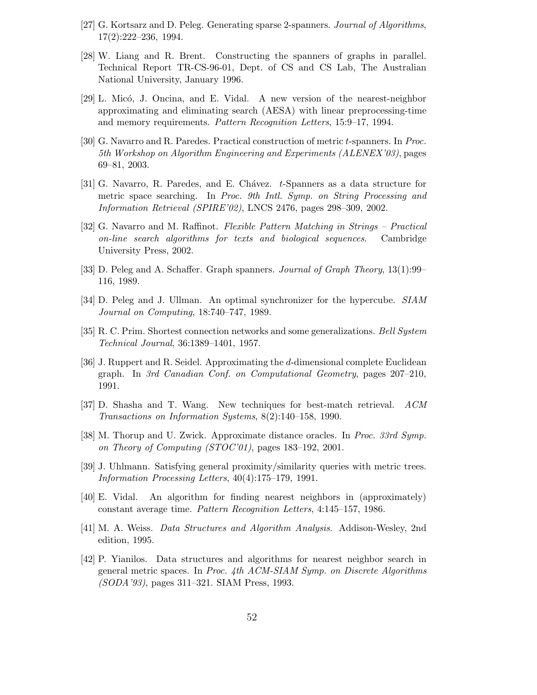- [27] G. Kortsarz and D. Peleg. Generating sparse 2-spanners. Journal of Algorithms, 17(2):222–236, 1994.
- [28] W. Liang and R. Brent. Constructing the spanners of graphs in parallel. Technical Report TR-CS-96-01, Dept. of CS and CS Lab, The Australian National University, January 1996.
- [29] L. Micó, J. Oncina, and E. Vidal. A new version of the nearest-neighbor approximating and eliminating search (AESA) with linear preprocessing-time and memory requirements. Pattern Recognition Letters, 15:9–17, 1994.
- [30] G. Navarro and R. Paredes. Practical construction of metric t-spanners. In Proc. 5th Workshop on Algorithm Engineering and Experiments (ALENEX'03), pages 69–81, 2003.
- [31] G. Navarro, R. Paredes, and E. Chávez. t-Spanners as a data structure for metric space searching. In Proc. 9th Intl. Symp. on String Processing and Information Retrieval (SPIRE'02), LNCS 2476, pages 298–309, 2002.
- [32] G. Navarro and M. Raffinot. Flexible Pattern Matching in Strings Practical on-line search algorithms for texts and biological sequences. Cambridge University Press, 2002.
- [33] D. Peleg and A. Schaffer. Graph spanners. *Journal of Graph Theory*, 13(1):99– 116, 1989.
- [34] D. Peleg and J. Ullman. An optimal synchronizer for the hypercube. SIAM Journal on Computing, 18:740–747, 1989.
- [35] R. C. Prim. Shortest connection networks and some generalizations. Bell System Technical Journal, 36:1389–1401, 1957.
- [36] J. Ruppert and R. Seidel. Approximating the d-dimensional complete Euclidean graph. In 3rd Canadian Conf. on Computational Geometry, pages 207–210, 1991.
- [37] D. Shasha and T. Wang. New techniques for best-match retrieval. ACM Transactions on Information Systems, 8(2):140–158, 1990.
- [38] M. Thorup and U. Zwick. Approximate distance oracles. In Proc. 33rd Symp. on Theory of Computing (STOC'01), pages 183–192, 2001.
- [39] J. Uhlmann. Satisfying general proximity/similarity queries with metric trees. Information Processing Letters, 40(4):175–179, 1991.
- [40] E. Vidal. An algorithm for finding nearest neighbors in (approximately) constant average time. Pattern Recognition Letters, 4:145–157, 1986.
- [41] M. A. Weiss. Data Structures and Algorithm Analysis. Addison-Wesley, 2nd edition, 1995.
- [42] P. Yianilos. Data structures and algorithms for nearest neighbor search in general metric spaces. In Proc. 4th ACM-SIAM Symp. on Discrete Algorithms (SODA'93), pages 311–321. SIAM Press, 1993.